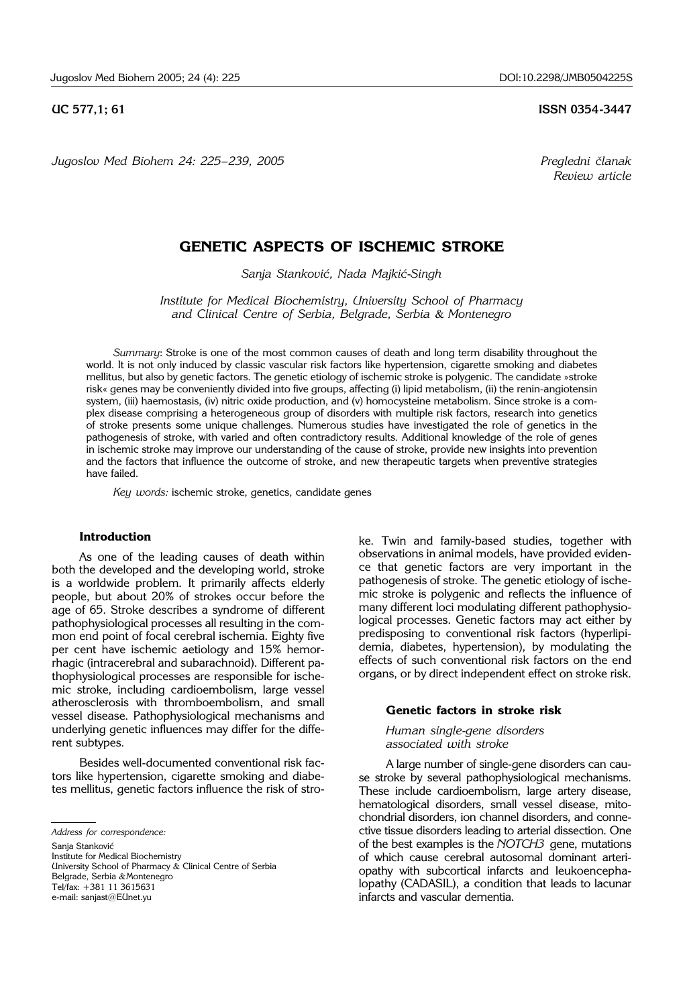*Jugoslov Med Biohem 24: 225–239, 2005 Pregledni ~lanak*

# **UC 577,1; 61 ISSN 0354-3447**

*Review article*

# **GENETIC ASPECTS OF ISCHEMIC STROKE**

*Sanja Stankovi}, Nada Majki}*-*Singh* 

*Institute for Medical Biochemistry, University School of Pharmacy and Clinical Centre of Serbia, Belgrade, Serbia* & *Montenegro*

*Summary*: Stroke is one of the most common causes of death and long term disability throughout the world. It is not only induced by classic vascular risk factors like hypertension, cigarette smoking and diabetes mellitus, but also by genetic factors. The genetic etiology of ischemic stroke is polygenic. The candidate »stroke risk« genes may be conveniently divided into five groups, affecting (i) lipid metabolism, (ii) the renin-angiotensin system, (iii) haemostasis, (iv) nitric oxide production, and (v) homocysteine metabolism. Since stroke is a complex disease comprising a heterogeneous group of disorders with multiple risk factors, research into genetics of stroke presents some unique challenges. Numerous studies have investigated the role of genetics in the pathogenesis of stroke, with varied and often contradictory results. Additional knowledge of the role of genes in ischemic stroke may improve our understanding of the cause of stroke, provide new insights into prevention and the factors that influence the outcome of stroke, and new therapeutic targets when preventive strategies have failed.

*Key words:* ischemic stroke, genetics, candidate genes

# **Introduction**

As one of the leading causes of death within both the developed and the developing world, stroke is a worldwide problem. It primarily affects elderly people, but about 20% of strokes occur before the age of 65. Stroke describes a syndrome of different pathophysiological processes all resulting in the common end point of focal cerebral ischemia. Eighty five per cent have ischemic aetiology and 15% hemorrhagic (intracerebral and subarachnoid). Different pathophysiological processes are responsible for ischemic stroke, including cardioembolism, large vessel atherosclerosis with thromboembolism, and small vessel disease. Pathophysiological mechanisms and underlying genetic influences may differ for the different subtypes.

Besides well-documented conventional risk factors like hypertension, cigarette smoking and diabetes mellitus, genetic factors influence the risk of stro-

*Address for correspondence:*

Sanja Stanković

Institute for Medical Biochemistry

University School of Pharmacy & Clinical Centre of Serbia Belgrade, Serbia &Montenegro

Tel/fax: +381 11 3615631

e-mail: sanjast@EUnet.yu

ke. Twin and family-based studies, together with observations in animal models, have provided evidence that genetic factors are very important in the pathogenesis of stroke. The genetic etiology of ischemic stroke is polygenic and reflects the influence of many different loci modulating different pathophysiological processes. Genetic factors may act either by predisposing to conventional risk factors (hyperlipidemia, diabetes, hypertension), by modulating the effects of such conventional risk factors on the end organs, or by direct independent effect on stroke risk.

#### **Genetic factors in stroke risk**

*Human single*-*gene disorders associated with stroke*

A large number of single-gene disorders can cause stroke by several pathophysiological mechanisms. These include cardioembolism, large artery disease, hematological disorders, small vessel disease, mitochondrial disorders, ion channel disorders, and connective tissue disorders leading to arterial dissection. One of the best examples is the *NOTCH3* gene, mutations of which cause cerebral autosomal dominant arteriopathy with subcortical infarcts and leukoencephalopathy (CADASIL), a condition that leads to lacunar infarcts and vascular dementia.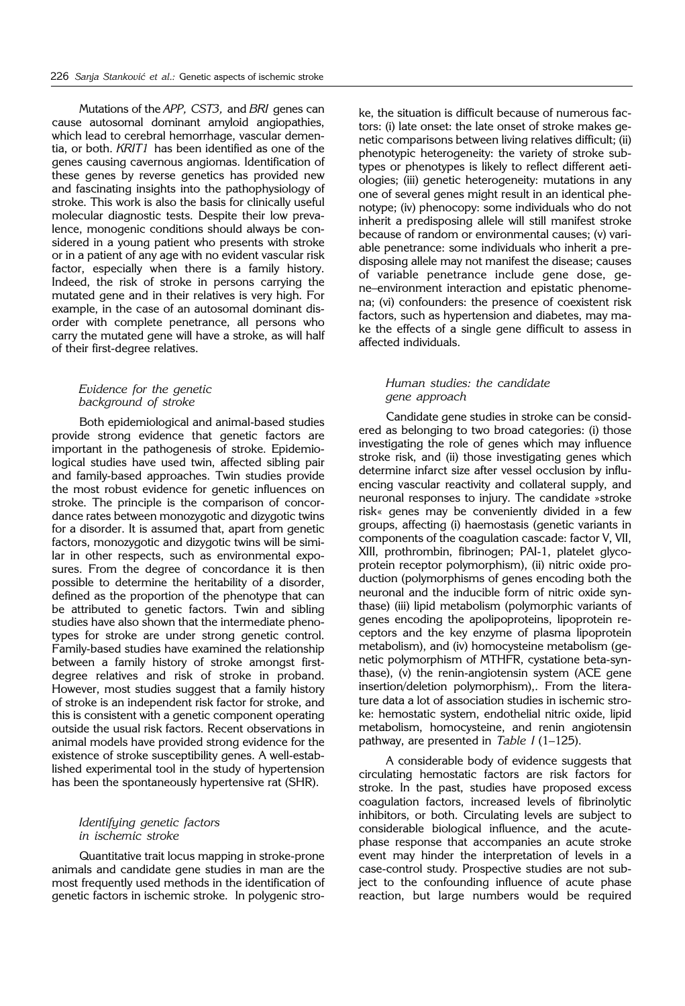Mutations of the *APP, CST3,* and *BRI* genes can cause autosomal dominant amyloid angiopathies, which lead to cerebral hemorrhage, vascular dementia, or both. *KRIT1* has been identified as one of the genes causing cavernous angiomas. Identification of these genes by reverse genetics has provided new and fascinating insights into the pathophysiology of stroke. This work is also the basis for clinically useful molecular diagnostic tests. Despite their low prevalence, monogenic conditions should always be considered in a young patient who presents with stroke or in a patient of any age with no evident vascular risk factor, especially when there is a family history. Indeed, the risk of stroke in persons carrying the mutated gene and in their relatives is very high. For example, in the case of an autosomal dominant disorder with complete penetrance, all persons who carry the mutated gene will have a stroke, as will half of their first-degree relatives.

### *Evidence for the genetic background of stroke*

Both epidemiological and animal-based studies provide strong evidence that genetic factors are important in the pathogenesis of stroke. Epidemiological studies have used twin, affected sibling pair and family-based approaches. Twin studies provide the most robust evidence for genetic influences on stroke. The principle is the comparison of concordance rates between monozygotic and dizygotic twins for a disorder. It is assumed that, apart from genetic factors, monozygotic and dizygotic twins will be similar in other respects, such as environmental exposures. From the degree of concordance it is then possible to determine the heritability of a disorder, defined as the proportion of the phenotype that can be attributed to genetic factors. Twin and sibling studies have also shown that the intermediate phenotypes for stroke are under strong genetic control. Family-based studies have examined the relationship between a family history of stroke amongst firstdegree relatives and risk of stroke in proband. However, most studies suggest that a family history of stroke is an independent risk factor for stroke, and this is consistent with a genetic component operating outside the usual risk factors. Recent observations in animal models have provided strong evidence for the existence of stroke susceptibility genes. A well-established experimental tool in the study of hypertension has been the spontaneously hypertensive rat (SHR).

#### *Identifying genetic factors in ischemic stroke*

Quantitative trait locus mapping in stroke-prone animals and candidate gene studies in man are the most frequently used methods in the identification of genetic factors in ischemic stroke. In polygenic stro-

ke, the situation is difficult because of numerous factors: (i) late onset: the late onset of stroke makes genetic comparisons between living relatives difficult; (ii) phenotypic heterogeneity: the variety of stroke subtypes or phenotypes is likely to reflect different aetiologies; (iii) genetic heterogeneity: mutations in any one of several genes might result in an identical phenotype; (iv) phenocopy: some individuals who do not inherit a predisposing allele will still manifest stroke because of random or environmental causes; (v) variable penetrance: some individuals who inherit a predisposing allele may not manifest the disease; causes of variable penetrance include gene dose, gene–environment interaction and epistatic phenomena; (vi) confounders: the presence of coexistent risk factors, such as hypertension and diabetes, may make the effects of a single gene difficult to assess in affected individuals.

# *Human studies: the candidate gene approach*

Candidate gene studies in stroke can be considered as belonging to two broad categories: (i) those investigating the role of genes which may influence stroke risk, and (ii) those investigating genes which determine infarct size after vessel occlusion by influencing vascular reactivity and collateral supply, and neuronal responses to injury. The candidate »stroke risk« genes may be conveniently divided in a few groups, affecting (i) haemostasis (genetic variants in components of the coagulation cascade: factor V, VII, XIII, prothrombin, fibrinogen; PAI-1, platelet glycoprotein receptor polymorphism), (ii) nitric oxide production (polymorphisms of genes encoding both the neuronal and the inducible form of nitric oxide synthase) (iii) lipid metabolism (polymorphic variants of genes encoding the apolipoproteins, lipoprotein receptors and the key enzyme of plasma lipoprotein metabolism), and (iv) homocysteine metabolism (genetic polymorphism of MTHFR, cystatione beta-synthase), (v) the renin-angiotensin system (ACE gene insertion/deletion polymorphism),. From the literature data a lot of association studies in ischemic stroke: hemostatic system, endothelial nitric oxide, lipid metabolism, homocysteine, and renin angiotensin pathway, are presented in *Table I* (1–125).

A considerable body of evidence suggests that circulating hemostatic factors are risk factors for stroke. In the past, studies have proposed excess coagulation factors, increased levels of fibrinolytic inhibitors, or both. Circulating levels are subject to considerable biological influence, and the acutephase response that accompanies an acute stroke event may hinder the interpretation of levels in a case-control study. Prospective studies are not subject to the confounding influence of acute phase reaction, but large numbers would be required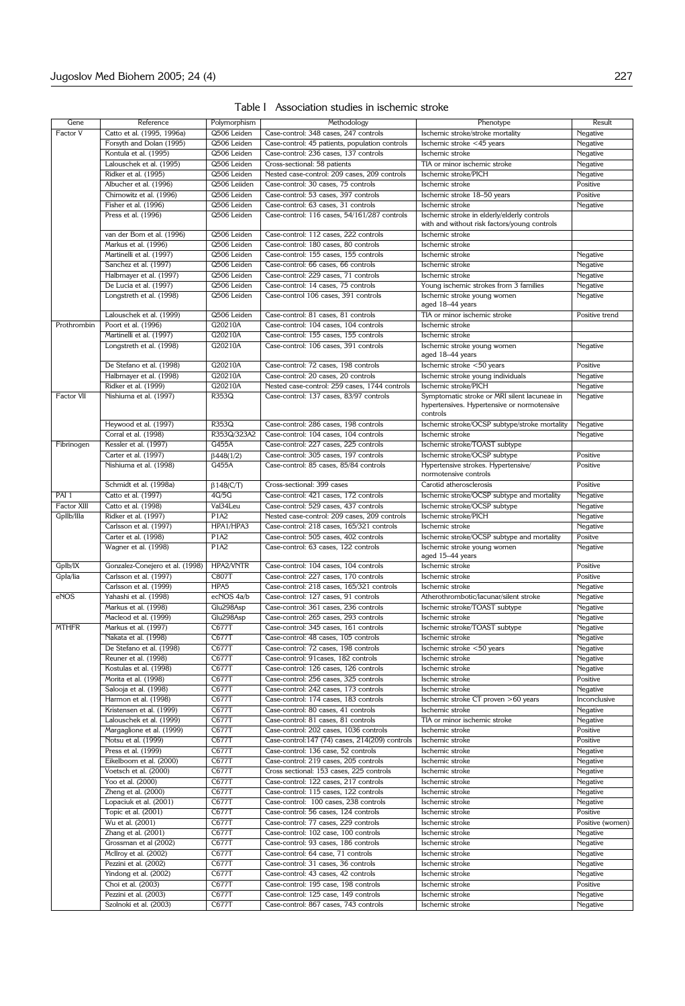| Table I Association studies in ischemic stroke |  |  |  |
|------------------------------------------------|--|--|--|
|                                                |  |  |  |

| Gene              | Reference                       | Polymorphism     | Methodology                                     | Phenotype                                       | Result           |
|-------------------|---------------------------------|------------------|-------------------------------------------------|-------------------------------------------------|------------------|
| Factor V          | Catto et al. (1995, 1996a)      | Q506 Leiden      | Case-control: 348 cases, 247 controls           | Ischemic stroke/stroke mortality                | Negative         |
|                   | Forsyth and Dolan (1995)        | Q506 Leiden      | Case-control: 45 patients, population controls  | Ischemic stroke <45 years                       | Negative         |
|                   | Kontula et al. (1995)           | Q506 Leiden      | Case-control: 236 cases, 137 controls           | Ischemic stroke                                 | Negative         |
|                   |                                 |                  |                                                 |                                                 |                  |
|                   | Lalouschek et al. (1995)        | Q506 Leiden      | Cross-sectional: 58 patients                    | TIA or minor ischemic stroke                    | Negative         |
|                   | Ridker et al. (1995)            | Q506 Leiden      | Nested case-control: 209 cases, 209 controls    | Ischemic stroke/PICH                            | Negative         |
|                   | Albucher et al. (1996)          | Q506 Leiiden     | Case-control: 30 cases, 75 controls             | Ischemic stroke                                 | Positive         |
|                   | Chimowitz et al. (1996)         | Q506 Leiden      | Case-control: 53 cases, 397 controls            | Ischemic stroke 18-50 years                     | Positive         |
|                   | Fisher et al. (1996)            | Q506 Leiden      | Case-control: 63 cases, 31 controls             | Ischemic stroke                                 | Negative         |
|                   | Press et al. (1996)             | Q506 Leiden      | Case-control: 116 cases, 54/161/287 controls    | Ischemic stroke in elderly/elderly controls     |                  |
|                   |                                 |                  |                                                 | with and without risk factors/young controls    |                  |
|                   | van der Bom et al. (1996)       | Q506 Leiden      | Case-control: 112 cases, 222 controls           | Ischemic stroke                                 |                  |
|                   | Markus et al. (1996)            | Q506 Leiden      | Case-control: 180 cases, 80 controls            | Ischemic stroke                                 |                  |
|                   | Martinelli et al. (1997)        | Q506 Leiden      | Case-control: 155 cases, 155 controls           | Ischemic stroke                                 | Negative         |
|                   | Sanchez et al. (1997)           | Q506 Leiden      | Case-control: 66 cases, 66 controls             | Ischemic stroke                                 | Negative         |
|                   | Halbmayer et al. (1997)         | Q506 Leiden      | Case-control: 229 cases, 71 controls            | Ischemic stroke                                 | Negative         |
|                   | De Lucia et al. (1997)          | Q506 Leiden      | Case-control: 14 cases, 75 controls             | Young ischemic strokes from 3 families          |                  |
|                   |                                 | Q506 Leiden      |                                                 |                                                 | Negative         |
|                   | Longstreth et al. (1998)        |                  | Case-control 106 cases, 391 controls            | Ischemic stroke young women<br>aged 18-44 years | Negative         |
|                   |                                 | Q506 Leiden      |                                                 |                                                 |                  |
|                   | Lalouschek et al. (1999)        |                  | Case-control: 81 cases, 81 controls             | TIA or minor ischemic stroke                    | Positive trend   |
| Prothrombin       | Poort et al. (1996)             | G20210A          | Case-control: 104 cases, 104 controls           | Ischemic stroke                                 |                  |
|                   | Martinelli et al. (1997)        | G20210A          | Case-control: 155 cases, 155 controls           | Ischemic stroke                                 |                  |
|                   | Longstreth et al. (1998)        | G20210A          | Case-control: 106 cases, 391 controls           | Ischemic stroke young women                     | Negative         |
|                   |                                 |                  |                                                 | aged 18-44 years                                |                  |
|                   | De Stefano et al. (1998)        | G20210A          | Case-control: 72 cases, 198 controls            | Ischemic stroke <50 years                       | Positive         |
|                   | Halbmayer et al. (1998)         | G20210A          | Case-control: 20 cases, 20 controls             | Ischemic stroke young individuals               | Negative         |
|                   | Ridker et al. (1999)            | G20210A          | Nested case-control: 259 cases, 1744 controls   | Ischemic stroke/PICH                            | Negative         |
| <b>Factor VII</b> | Nishiuma et al. (1997)          | R353Q            | Case-control: 137 cases, 83/97 controls         | Symptomatic stroke or MRI silent lacuneae in    | Negative         |
|                   |                                 |                  |                                                 | hypertensives. Hypertensive or normotensive     |                  |
|                   |                                 |                  |                                                 | controls                                        |                  |
|                   | Heywood et al. (1997)           | R353Q            | Case-control: 286 cases, 198 controls           | Ischemic stroke/OCSP subtype/stroke mortality   | Negative         |
|                   | Corral et al. (1998)            | R353Q/323A2      | Case-control: 104 cases, 104 controls           | Ischemic stroke                                 | Negative         |
| Fibrinogen        | Kessler et al. (1997)           | G455A            | Case-control: 227 cases, 225 controls           | Ischemic stroke/TOAST subtype                   |                  |
|                   | Carter et al. (1997)            |                  | Case-control: 305 cases, 197 controls           | Ischemic stroke/OCSP subtype                    | Positive         |
|                   |                                 | $\beta$ 448(1/2) |                                                 |                                                 |                  |
|                   | Nishiuma et al. (1998)          | G455A            | Case-control: 85 cases, 85/84 controls          | Hypertensive strokes. Hypertensive/             | Positive         |
|                   |                                 |                  |                                                 | normotensive controls                           |                  |
|                   | Schmidt et al. (1998a)          | $\beta$ 148(C/T) | Cross-sectional: 399 cases                      | Carotid atherosclerosis                         | Positive         |
| PAI <sub>1</sub>  | Catto et al. (1997)             | 4G/5G            | Case-control: 421 cases, 172 controls           | Ischemic stroke/OCSP subtype and mortality      | Negative         |
| Factor XIII       | Catto et al. (1998)             | Val34Leu         | Case-control: 529 cases, 437 controls           | Ischemic stroke/OCSP subtype                    | Negative         |
| GpIlb/Illa        | Ridker et al. (1997)            | P1A2             | Nested case-control: 209 cases, 209 controls    | Ischemic stroke/PICH                            | Negative         |
|                   | Carlsson et al. (1997)          | HPA1/HPA3        | Case-control: 218 cases, 165/321 controls       | Ischemic stroke                                 | Negative         |
|                   | Carter et al. (1998)            | P1A2             | Case-control: 505 cases, 402 controls           | Ischemic stroke/OCSP subtype and mortality      | Positve          |
|                   | Wagner et al. (1998)            | P1A2             | Case-control: 63 cases, 122 controls            | Ischemic stroke young women                     | Negative         |
|                   |                                 |                  |                                                 | aged 15-44 years                                |                  |
| GpIb/IX           | Gonzalez-Conejero et al. (1998) | HPA2/VNTR        | Case-control: 104 cases, 104 controls           | Ischemic stroke                                 | Positive         |
| Gpla/lia          | Carlsson et al. (1997)          | C807T            | Case-control: 227 cases, 170 controls           | Ischemic stroke                                 | Positive         |
|                   | Carlsson et al. (1999)          | HPA5             | Case-control: 218 cases, 165/321 controls       | Ischemic stroke                                 | Negative         |
| eNOS              |                                 | ecNOS 4a/b       | Case-control: 127 cases, 91 controls            |                                                 |                  |
|                   | Yahashi et al. (1998)           |                  |                                                 | Atherothrombotic/lacunar/silent stroke          | Negative         |
|                   | Markus et al. (1998)            | Glu298Asp        | Case-control: 361 cases, 236 controls           | Ischemic stroke/TOAST subtype                   | Negative         |
|                   | Macleod et al. (1999)           | Glu298Asp        | Case-control: 265 cases, 293 controls           | Ischemic stroke                                 | Negative         |
| <b>MTHFR</b>      | Markus et al. (1997)            | C677T            | Case-control: 345 cases, 161 controls           | Ischemic stroke/TOAST subtype                   | Negative         |
|                   | Nakata et al. (1998)            | C677T            | Case-control: 48 cases, 105 controls            | Ischemic stroke                                 | Negative         |
|                   | De Stefano et al. (1998)        | C677T            | Case-control: 72 cases, 198 controls            | Ischemic stroke <50 years                       | Negative         |
|                   | Reuner et al. (1998)            | C677T            | Case-control: 91cases, 182 controls             | Ischemic stroke                                 | Negative         |
|                   | Kostulas et al. (1998)          | C677T            | Case-control: 126 cases, 126 controls           | Ischemic stroke                                 | Negative         |
|                   | Morita et al. (1998)            | C677T            | Case-control: 256 cases, 325 controls           | Ischemic stroke                                 | Positive         |
|                   | Salooja et al. (1998)           | C677T            | Case-control: 242 cases, 173 controls           | Ischemic stroke                                 | Negative         |
|                   | Harmon et al. (1998)            | C677T            | Case-control: 174 cases, 183 controls           | Ischemic stroke CT proven >60 years             | Inconclusive     |
|                   | Kristensen et al. (1999)        | C677T            | Case-control: 80 cases, 41 controls             | Ischemic stroke                                 | Negative         |
|                   | Lalouschek et al. (1999)        | C677T            | Case-control: 81 cases, 81 controls             | TIA or minor ischemic stroke                    | Negative         |
|                   | Margaglione et al. (1999)       | C677T            | Case-control: 202 cases, 1036 controls          |                                                 |                  |
|                   |                                 |                  |                                                 | Ischemic stroke                                 | Positive         |
|                   | Notsu et al. (1999)             | C677T            | Case-control: 147 (74) cases, 214(209) controls | Ischemic stroke                                 | Positive         |
|                   | Press et al. (1999)             | C677T            | Case-control: 136 case, 52 controls             | Ischemic stroke                                 | Negative         |
|                   | Eikelboom et al. (2000)         | C677T            | Case-control: 219 cases, 205 controls           | Ischemic stroke                                 | Negative         |
|                   | Voetsch et al. (2000)           | C677T            | Cross sectional: 153 cases, 225 controls        | Ischemic stroke                                 | Negative         |
|                   | Yoo et al. (2000)               | C677T            | Case-control: 122 cases, 217 controls           | Ischemic stroke                                 | Negative         |
|                   | Zheng et al. (2000)             | C677T            | Case-control: 115 cases, 122 controls           | Ischemic stroke                                 | Negative         |
|                   | Lopaciuk et al. (2001)          | C677T            | Case-control: 100 cases, 238 controls           | Ischemic stroke                                 | Negative         |
|                   | Topic et al. (2001)             | C677T            | Case-control: 56 cases, 124 controls            | Ischemic stroke                                 | Positive         |
|                   | Wu et al. (2001)                | C677T            | Case-control: 77 cases, 229 controls            | Ischemic stroke                                 | Positive (women) |
|                   | Zhang et al. (2001)             | C677T            | Case-control: 102 case, 100 controls            | Ischemic stroke                                 | Negative         |
|                   | Grossman et al (2002)           | C677T            | Case-control: 93 cases, 186 controls            | Ischemic stroke                                 | Negative         |
|                   |                                 | C677T            | Case-control: 64 case, 71 controls              | Ischemic stroke                                 | Negative         |
|                   | McIlroy et al. (2002)           |                  |                                                 |                                                 |                  |
|                   | Pezzini et al. (2002)           | C677T            | Case-control: 31 cases, 36 controls             | Ischemic stroke                                 | Negative         |
|                   | Yindong et al. (2002)           | C677T            | Case-control: 43 cases, 42 controls             | Ischemic stroke                                 | Negative         |
|                   | Choi et al. (2003)              | C677T            | Case-control: 195 case, 198 controls            | Ischemic stroke                                 | Positive         |
|                   | Pezzini et al. (2003)           | C677T            | Case-control: 125 case, 149 controls            | Ischemic stroke                                 | Negative         |
|                   | Szolnoki et al. (2003)          | C677T            | Case-control: 867 cases, 743 controls           | Ischemic stroke                                 | Negative         |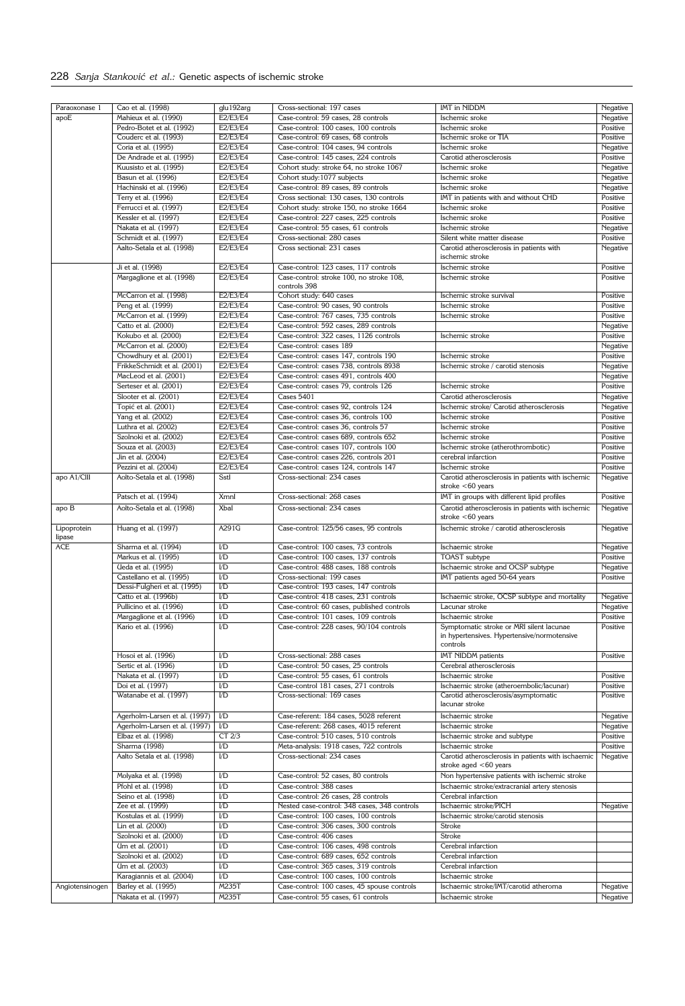# 228 Sanja Stanković et al.: Genetic aspects of ischemic stroke

| Paraoxonase 1   | Cao et al. (1998)                            | glu192arg         | Cross-sectional: 197 cases                                                         | IMT in NIDDM                                                                                        | Negative             |
|-----------------|----------------------------------------------|-------------------|------------------------------------------------------------------------------------|-----------------------------------------------------------------------------------------------------|----------------------|
| apoE            | Mahieux et al. (1990)                        | E2/E3/E4          | Case-control: 59 cases, 28 controls                                                | Ischemic sroke                                                                                      | Negative             |
|                 | Pedro-Botet et al. (1992)                    | E2/E3/E4          | Case-control: 100 cases, 100 controls                                              | Ischemic sroke                                                                                      | Positive             |
|                 | Couderc et al. (1993)                        | E2/E3/E4          | Case-control: 69 cases, 68 controls                                                | Ischemic sroke or TIA                                                                               | Positive             |
|                 | Coria et al. (1995)                          | E2/E3/E4          | Case-control: 104 cases, 94 controls                                               | Ischemic sroke                                                                                      | Negative             |
|                 | De Andrade et al. (1995)                     | E2/E3/E4          | Case-control: 145 cases, 224 controls                                              | Carotid atherosclerosis                                                                             | Positive             |
|                 | Kuusisto et al. (1995)                       | E2/E3/E4          | Cohort study: stroke 64, no stroke 1067                                            | Ischemic sroke                                                                                      | Negative             |
|                 | Basun et al. (1996)                          | E2/E3/E4          | Cohort study: 1077 subjects                                                        | Ischemic sroke                                                                                      | Negative             |
|                 | Hachinski et al. (1996)                      | E2/E3/E4          | Case-control: 89 cases, 89 controls                                                | Ischemic sroke                                                                                      | Negative             |
|                 |                                              | E2/E3/E4          | Cross sectional: 130 cases, 130 controls                                           | IMT in patients with and without CHD                                                                | Positive             |
|                 | Terry et al. (1996)                          |                   |                                                                                    |                                                                                                     |                      |
|                 | Ferrucci et al. (1997)                       | E2/E3/E4          | Cohort study: stroke 150, no stroke 1664                                           | Ischemic sroke                                                                                      | Positive             |
|                 | Kessler et al. (1997)                        | E2/E3/E4          | Case-control: 227 cases, 225 controls                                              | Ischemic sroke                                                                                      | Positive             |
|                 | Nakata et al. (1997)                         | E2/E3/E4          | Case-control: 55 cases, 61 controls                                                | Ischemic stroke                                                                                     | Negative             |
|                 | Schmidt et al. (1997)                        | E2/E3/E4          | Cross-sectional: 280 cases                                                         | Silent white matter disease                                                                         | Positive             |
|                 | Aalto-Setala et al. (1998)                   | E2/E3/E4          | Cross sectional: 231 cases                                                         | Carotid atherosclerosis in patients with<br>ischemic stroke                                         | Negative             |
|                 | Ji et al. (1998)                             | E2/E3/E4          | Case-control: 123 cases, 117 controls                                              | Ischemic stroke                                                                                     | Positive             |
|                 | Margaglione et al. (1998)                    | E2/E3/E4          | Case-control: stroke 100, no stroke 108,                                           | <b>Ischemic stroke</b>                                                                              | Positive             |
|                 |                                              |                   | controls 398                                                                       |                                                                                                     |                      |
|                 | McCarron et al. (1998)                       | E2/E3/E4          | Cohort study: 640 cases                                                            | Ischemic stroke survival                                                                            | Positive             |
|                 |                                              |                   |                                                                                    |                                                                                                     |                      |
|                 | Peng et al. (1999)                           | E2/E3/E4          | Case-control: 90 cases, 90 controls                                                | Ischemic stroke                                                                                     | Positive             |
|                 | McCarron et al. (1999)                       | E2/E3/E4          | Case-control: 767 cases, 735 controls                                              | Ischemic stroke                                                                                     | Positive             |
|                 | Catto et al. (2000)                          | E2/E3/E4          | Case-control: 592 cases, 289 controls                                              |                                                                                                     | Negative             |
|                 | Kokubo et al. (2000)                         | E2/E3/E4          | Case-control: 322 cases, 1126 controls                                             | Ischemic stroke                                                                                     | Positive             |
|                 | McCarron et al. (2000)                       | E2/E3/E4          | Case-control: cases 189                                                            |                                                                                                     | Negative             |
|                 | Chowdhury et al. (2001)                      | E2/E3/E4          | Case-control: cases 147, controls 190                                              | Ischemic stroke                                                                                     | Positive             |
|                 | FrikkeSchmidt et al. (2001)                  | E2/E3/E4          | Case-control: cases 738, controls 8938                                             | Ischemic stroke / carotid stenosis                                                                  | Negative             |
|                 | MacLeod et al. (2001)                        | E2/E3/E4          | Case-control: cases 491, controls 400                                              |                                                                                                     | Negative             |
|                 | Serteser et al. (2001)                       | E2/E3/E4          | Case-control: cases 79, controls 126                                               | Ischemic stroke                                                                                     | Positive             |
|                 | Slooter et al. (2001)                        | E2/E3/E4          | <b>Cases 5401</b>                                                                  | Carotid atherosclerosis                                                                             | Negative             |
|                 |                                              | E2/E3/E4          | Case-control: cases 92, controls 124                                               | Ischemic stroke/ Carotid atherosclerosis                                                            |                      |
|                 | Topić et al. (2001)                          |                   |                                                                                    |                                                                                                     | Negative             |
|                 | Yang et al. (2002)                           | E2/E3/E4          | Case-control: cases 36, controls 100                                               | Ischemic stroke                                                                                     | Positive             |
|                 | Luthra et al. (2002)                         | E2/E3/E4          | Case-control: cases 36, controls 57                                                | Ischemic stroke                                                                                     | Positive             |
|                 | Szolnoki et al. (2002)                       | E2/E3/E4          | Case-control: cases 689, controls 652                                              | Ischemic stroke                                                                                     | Positive             |
|                 | Souza et al. (2003)                          | E2/E3/E4          | Case-control: cases 107, controls 100                                              | Ischemic stroke (atherothrombotic)                                                                  | Positive             |
|                 | Jin et al. (2004)                            | E2/E3/E4          | Case-control: cases 226, controls 201                                              | cerebral infarction                                                                                 | Positive             |
|                 | Pezzini et al. (2004)                        | E2/E3/E4          | Case-control: cases 124, controls 147                                              | Ischemic stroke                                                                                     | Positive             |
| apo A1/CIII     | Aolto-Setala et al. (1998)                   | SstI              | Cross-sectional: 234 cases                                                         | Carotid atherosclerosis in patients with ischemic                                                   | Negative             |
|                 |                                              | <b>XmnI</b>       | Cross-sectional: 268 cases                                                         | stroke $<$ 60 years                                                                                 | Positive             |
|                 | Patsch et al. (1994)                         |                   |                                                                                    | IMT in groups with different lipid profiles                                                         |                      |
| apo B           | Aolto-Setala et al. (1998)                   | Xbal              | Cross-sectional: 234 cases                                                         | Carotid atherosclerosis in patients with ischemic                                                   | Negative             |
|                 |                                              |                   |                                                                                    | stroke $< 60$ years                                                                                 |                      |
| Lipoprotein     | Huang et al. (1997)                          | A291G             | Case-control: 125/56 cases, 95 controls                                            | Ischemic stroke / carotid atherosclerosis                                                           | <b>Negative</b>      |
| lipase          |                                              |                   |                                                                                    |                                                                                                     |                      |
| <b>ACE</b>      | Sharma et al. (1994)                         | I/D               | Case-control: 100 cases, 73 controls                                               | Ischaemic stroke                                                                                    | Negative             |
|                 | Markus et al. (1995)                         | $1/D$             | Case-control: 100 cases, 137 controls                                              | TOAST subtype                                                                                       | Positive             |
|                 | Ueda et al. (1995)                           | I/D               | Case-control: 488 cases, 188 controls                                              | Ischaemic stroke and OCSP subtype                                                                   | <b>Negative</b>      |
|                 | Castellano et al. (1995)                     | I/D               | Cross-sectional: 199 cases                                                         | IMT patients aged 50-64 years                                                                       | Positive             |
|                 | Dessi-Fulgheri et al. (1995)                 | I/D               | Case-control: 193 cases, 147 controls                                              |                                                                                                     |                      |
|                 | Catto et al. (1996b)                         | I/D               | Case-control: 418 cases, 231 controls                                              |                                                                                                     | Negative             |
|                 |                                              |                   |                                                                                    | Ischaemic stroke, OCSP subtype and mortality                                                        |                      |
|                 | Pullicino et al. (1996)                      | $1/D$             | Case-control: 60 cases, published controls                                         | Lacunar stroke                                                                                      | Negative             |
|                 | Margaglione et al. (1996)                    | I/D               | Case-control: 101 cases, 109 controls                                              | Ischaemic stroke                                                                                    | Positive             |
|                 | Kario et al. (1996)                          | $1/D$             | Case-control: 228 cases, 90/104 controls                                           | Symptomatic stroke or MRI silent lacunae<br>in hypertensives. Hypertensive/normotensive<br>controls | Positive             |
|                 | Hosoi et al. (1996)                          | I/D               | Cross-sectional: 288 cases                                                         | IMT NIDDM patients                                                                                  | Positive             |
|                 | Sertic et al. (1996)                         | I/D               | Case-control: 50 cases, 25 controls                                                | Cerebral atherosclerosis                                                                            |                      |
|                 |                                              | I/D               | Case-control: 55 cases, 61 controls                                                | Ischaemic stroke                                                                                    |                      |
|                 | Nakata et al. (1997)                         |                   |                                                                                    |                                                                                                     | Positive             |
|                 | Doi et al. (1997)                            | I/D               | Case-control 181 cases, 271 controls                                               | Ischaemic stroke (atheroembolic/lacunar)                                                            | Positive             |
|                 | Watanabe et al. (1997)                       | I/D               | Cross-sectional: 169 cases                                                         | Carotid atherosclerosis/asymptomatic<br>lacunar stroke                                              | Positive             |
|                 | Agerholm-Larsen et al. (1997)                | I/D               | Case-referent: 184 cases, 5028 referent                                            | Ischaemic stroke                                                                                    | Negative             |
|                 | Agerholm-Larsen et al. (1997)                | I/D               | Case-referent: 268 cases, 4015 referent                                            | Ischaemic stroke                                                                                    | Negative             |
|                 | Elbaz et al. (1998)                          | CT <sub>2/3</sub> | Case-control: 510 cases, 510 controls                                              | Ischaemic stroke and subtype                                                                        | Positive             |
|                 | Sharma (1998)                                | I/D               | Meta-analysis: 1918 cases, 722 controls                                            | Ischaemic stroke                                                                                    | Positive             |
|                 | Aalto Setala et al. (1998)                   | I/D               | Cross-sectional: 234 cases                                                         | Carotid atherosclerosis in patients with ischaemic<br>stroke aged $<$ 60 years                      | Negative             |
|                 | Molyaka et al. (1998)                        | I/D               | Case-control: 52 cases, 80 controls                                                | Non hypertensive patients with ischemic stroke                                                      |                      |
|                 |                                              |                   |                                                                                    |                                                                                                     |                      |
|                 | Pfohl et al. (1998)                          | $\overline{ID}$   | Case-control: 388 cases                                                            | Ischaemic stroke/extracranial artery stenosis                                                       |                      |
|                 | Seino et al. (1998)                          | I/D               | Case-control: 26 cases, 28 controls                                                | Cerebral infarction                                                                                 |                      |
|                 | Zee et al. (1999)                            | I/D               | Nested case-control: 348 cases, 348 controls                                       | Ischaemic stroke/PICH                                                                               | Negative             |
|                 | Kostulas et al. (1999)                       | I/D               | Case-control: 100 cases, 100 controls                                              | Ischaemic stroke/carotid stenosis                                                                   |                      |
|                 | Lin et al. (2000)                            | I/D               | Case-control: 306 cases, 300 controls                                              | <b>Stroke</b>                                                                                       |                      |
|                 | Szolnoki et al. (2000)                       | I/D               | Case-control: 406 cases                                                            | Stroke                                                                                              |                      |
|                 | Um et al. (2001)                             | I/D               | Case-control: 106 cases, 498 controls                                              | Cerebral infarction                                                                                 |                      |
|                 | Szolnoki et al. (2002)                       | I/D               | Case-control: 689 cases, 652 controls                                              | Cerebral infarction                                                                                 |                      |
|                 | Um et al. (2003)                             | I/D               | Case-control: 365 cases, 319 controls                                              | Cerebral infarction                                                                                 |                      |
|                 |                                              |                   |                                                                                    |                                                                                                     |                      |
|                 |                                              |                   |                                                                                    |                                                                                                     |                      |
|                 | Karagiannis et al. (2004)                    | I/D               | Case-control: 100 cases, 100 controls                                              | Ischaemic stroke                                                                                    |                      |
| Angiotensinogen | Barley et al. (1995)<br>Nakata et al. (1997) | M235T<br>M235T    | Case-control: 100 cases, 45 spouse controls<br>Case-control: 55 cases, 61 controls | Ischaemic stroke/IMT/carotid atheroma<br>Ischaemic stroke                                           | Negative<br>Negative |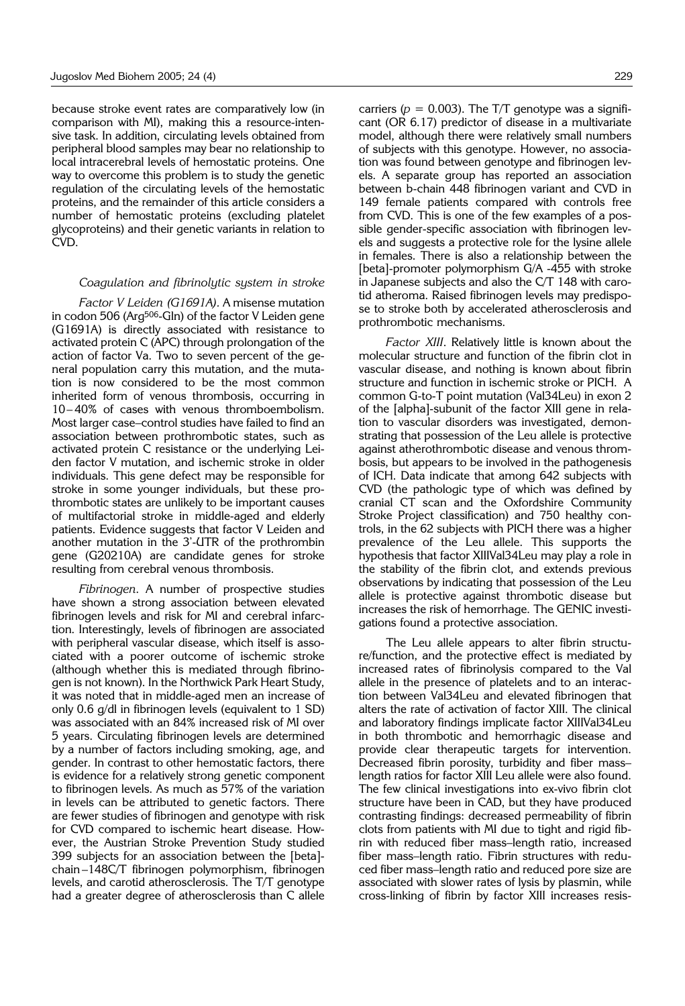because stroke event rates are comparatively low (in comparison with MI), making this a resource-intensive task. In addition, circulating levels obtained from peripheral blood samples may bear no relationship to local intracerebral levels of hemostatic proteins. One way to overcome this problem is to study the genetic regulation of the circulating levels of the hemostatic proteins, and the remainder of this article considers a number of hemostatic proteins (excluding platelet glycoproteins) and their genetic variants in relation to CVD.

#### *Coagulation and fibrinolytic system in stroke*

*Factor V Leiden (G1691A).* A misense mutation in codon 506 (Arg506-Gln) of the factor V Leiden gene (G1691A) is directly associated with resistance to activated protein C (APC) through prolongation of the action of factor Va. Two to seven percent of the general population carry this mutation, and the mutation is now considered to be the most common inherited form of venous thrombosis, occurring in 10– 40% of cases with venous thromboembolism. Most larger case–control studies have failed to find an association between prothrombotic states, such as activated protein C resistance or the underlying Leiden factor V mutation, and ischemic stroke in older individuals. This gene defect may be responsible for stroke in some younger individuals, but these prothrombotic states are unlikely to be important causes of multifactorial stroke in middle-aged and elderly patients. Evidence suggests that factor V Leiden and another mutation in the 3'-UTR of the prothrombin gene (G20210A) are candidate genes for stroke resulting from cerebral venous thrombosis.

*Fibrinogen*. A number of prospective studies have shown a strong association between elevated fibrinogen levels and risk for MI and cerebral infarction. Interestingly, levels of fibrinogen are associated with peripheral vascular disease, which itself is associated with a poorer outcome of ischemic stroke (although whether this is mediated through fibrinogen is not known). In the Northwick Park Heart Study, it was noted that in middle-aged men an increase of only 0.6 g/dl in fibrinogen levels (equivalent to 1 SD) was associated with an 84% increased risk of MI over 5 years. Circulating fibrinogen levels are determined by a number of factors including smoking, age, and gender. In contrast to other hemostatic factors, there is evidence for a relatively strong genetic component to fibrinogen levels. As much as 57% of the variation in levels can be attributed to genetic factors. There are fewer studies of fibrinogen and genotype with risk for CVD compared to ischemic heart disease. However, the Austrian Stroke Prevention Study studied 399 subjects for an association between the [beta] chain –148C/T fibrinogen polymorphism, fibrinogen levels, and carotid atherosclerosis. The T/T genotype had a greater degree of atherosclerosis than C allele

carriers ( $p = 0.003$ ). The T/T genotype was a significant (OR 6.17) predictor of disease in a multivariate model, although there were relatively small numbers of subjects with this genotype. However, no association was found between genotype and fibrinogen levels. A separate group has reported an association between b-chain 448 fibrinogen variant and CVD in 149 female patients compared with controls free from CVD. This is one of the few examples of a possible gender-specific association with fibrinogen levels and suggests a protective role for the lysine allele in females. There is also a relationship between the [beta]-promoter polymorphism G/A -455 with stroke in Japanese subjects and also the C/T 148 with carotid atheroma. Raised fibrinogen levels may predispose to stroke both by accelerated atherosclerosis and prothrombotic mechanisms.

*Factor XIII*. Relatively little is known about the molecular structure and function of the fibrin clot in vascular disease, and nothing is known about fibrin structure and function in ischemic stroke or PICH. A common G-to-T point mutation (Val34Leu) in exon 2 of the [alpha]-subunit of the factor XIII gene in relation to vascular disorders was investigated, demonstrating that possession of the Leu allele is protective against atherothrombotic disease and venous thrombosis, but appears to be involved in the pathogenesis of ICH. Data indicate that among 642 subjects with CVD (the pathologic type of which was defined by cranial CT scan and the Oxfordshire Community Stroke Project classification) and 750 healthy controls, in the 62 subjects with PICH there was a higher prevalence of the Leu allele. This supports the hypothesis that factor XIIIVal34Leu may play a role in the stability of the fibrin clot, and extends previous observations by indicating that possession of the Leu allele is protective against thrombotic disease but increases the risk of hemorrhage. The GENIC investigations found a protective association.

The Leu allele appears to alter fibrin structure/function, and the protective effect is mediated by increased rates of fibrinolysis compared to the Val allele in the presence of platelets and to an interaction between Val34Leu and elevated fibrinogen that alters the rate of activation of factor XIII. The clinical and laboratory findings implicate factor XIIIVal34Leu in both thrombotic and hemorrhagic disease and provide clear therapeutic targets for intervention. Decreased fibrin porosity, turbidity and fiber mass– length ratios for factor XIII Leu allele were also found. The few clinical investigations into ex-vivo fibrin clot structure have been in CAD, but they have produced contrasting findings: decreased permeability of fibrin clots from patients with MI due to tight and rigid fibrin with reduced fiber mass–length ratio, increased fiber mass–length ratio. Fibrin structures with reduced fiber mass–length ratio and reduced pore size are associated with slower rates of lysis by plasmin, while cross-linking of fibrin by factor XIII increases resis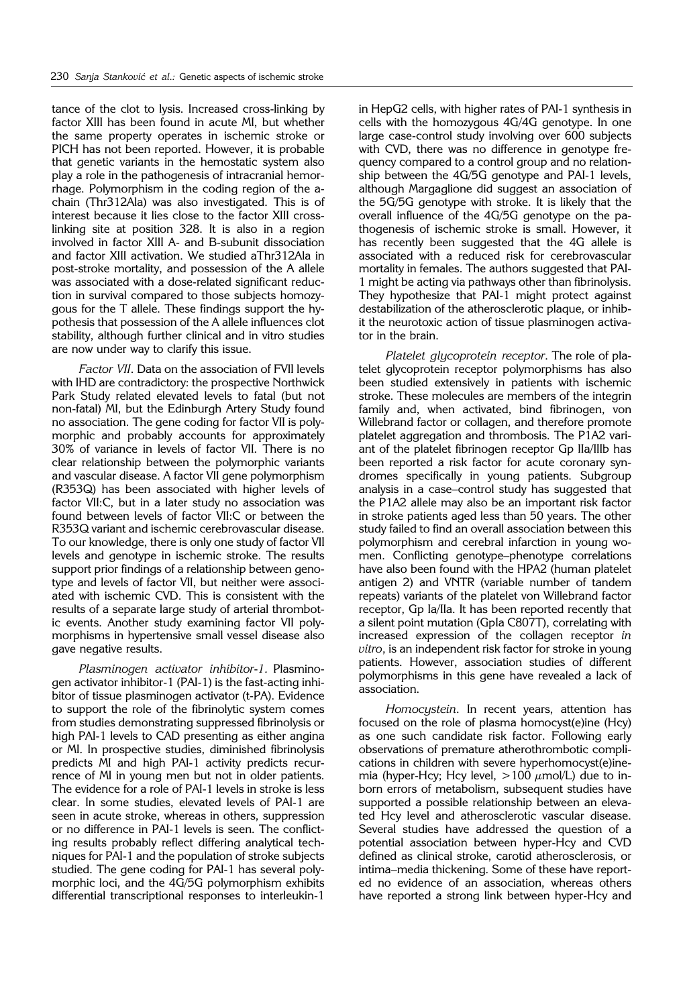tance of the clot to lysis. Increased cross-linking by factor XIII has been found in acute MI, but whether the same property operates in ischemic stroke or PICH has not been reported. However, it is probable that genetic variants in the hemostatic system also play a role in the pathogenesis of intracranial hemorrhage. Polymorphism in the coding region of the achain (Thr312Ala) was also investigated. This is of interest because it lies close to the factor XIII crosslinking site at position 328. It is also in a region involved in factor XIII A- and B-subunit dissociation and factor XIII activation. We studied aThr312Ala in post-stroke mortality, and possession of the A allele was associated with a dose-related significant reduction in survival compared to those subjects homozygous for the T allele. These findings support the hypothesis that possession of the A allele influences clot stability, although further clinical and in vitro studies are now under way to clarify this issue.

*Factor VII*. Data on the association of FVII levels with IHD are contradictory: the prospective Northwick Park Study related elevated levels to fatal (but not non-fatal) MI, but the Edinburgh Artery Study found no association. The gene coding for factor VII is polymorphic and probably accounts for approximately 30% of variance in levels of factor VII. There is no clear relationship between the polymorphic variants and vascular disease. A factor VII gene polymorphism (R353Q) has been associated with higher levels of factor VII:C, but in a later study no association was found between levels of factor VII:C or between the R353Q variant and ischemic cerebrovascular disease. To our knowledge, there is only one study of factor VII levels and genotype in ischemic stroke. The results support prior findings of a relationship between genotype and levels of factor VII, but neither were associated with ischemic CVD. This is consistent with the results of a separate large study of arterial thrombotic events. Another study examining factor VII polymorphisms in hypertensive small vessel disease also gave negative results.

*Plasminogen activator inhibitor*-*1.* Plasminogen activator inhibitor-1 (PAI-1) is the fast-acting inhibitor of tissue plasminogen activator (t-PA). Evidence to support the role of the fibrinolytic system comes from studies demonstrating suppressed fibrinolysis or high PAI-1 levels to CAD presenting as either angina or MI. In prospective studies, diminished fibrinolysis predicts MI and high PAI-1 activity predicts recurrence of MI in young men but not in older patients. The evidence for a role of PAI-1 levels in stroke is less clear. In some studies, elevated levels of PAI-1 are seen in acute stroke, whereas in others, suppression or no difference in PAI-1 levels is seen. The conflicting results probably reflect differing analytical techniques for PAI-1 and the population of stroke subjects studied. The gene coding for PAI-1 has several polymorphic loci, and the 4G/5G polymorphism exhibits differential transcriptional responses to interleukin-1

in HepG2 cells, with higher rates of PAI-1 synthesis in cells with the homozygous 4G/4G genotype. In one large case-control study involving over 600 subjects with CVD, there was no difference in genotype frequency compared to a control group and no relationship between the 4G/5G genotype and PAI-1 levels, although Margaglione did suggest an association of the 5G/5G genotype with stroke. It is likely that the overall influence of the 4G/5G genotype on the pathogenesis of ischemic stroke is small. However, it has recently been suggested that the 4G allele is associated with a reduced risk for cerebrovascular mortality in females. The authors suggested that PAI-1 might be acting via pathways other than fibrinolysis. They hypothesize that PAI-1 might protect against destabilization of the atherosclerotic plaque, or inhibit the neurotoxic action of tissue plasminogen activator in the brain.

*Platelet glycoprotein receptor*. The role of platelet glycoprotein receptor polymorphisms has also been studied extensively in patients with ischemic stroke. These molecules are members of the integrin family and, when activated, bind fibrinogen, von Willebrand factor or collagen, and therefore promote platelet aggregation and thrombosis. The P1A2 variant of the platelet fibrinogen receptor Gp IIa/IIIb has been reported a risk factor for acute coronary syndromes specifically in young patients. Subgroup analysis in a case–control study has suggested that the P1A2 allele may also be an important risk factor in stroke patients aged less than 50 years. The other study failed to find an overall association between this polymorphism and cerebral infarction in young women. Conflicting genotype–phenotype correlations have also been found with the HPA2 (human platelet antigen 2) and VNTR (variable number of tandem repeats) variants of the platelet von Willebrand factor receptor, Gp Ia/IIa. It has been reported recently that a silent point mutation (GpIa C807T), correlating with increased expression of the collagen receptor *in vitro*, is an independent risk factor for stroke in young patients. However, association studies of different polymorphisms in this gene have revealed a lack of association.

*Homocystein*. In recent years, attention has focused on the role of plasma homocyst(e)ine (Hcy) as one such candidate risk factor. Following early observations of premature atherothrombotic complications in children with severe hyperhomocyst(e)inemia (hyper-Hcy; Hcy level,  $>100 \mu$ mol/L) due to inborn errors of metabolism, subsequent studies have supported a possible relationship between an elevated Hcy level and atherosclerotic vascular disease. Several studies have addressed the question of a potential association between hyper-Hcy and CVD defined as clinical stroke, carotid atherosclerosis, or intima–media thickening. Some of these have reported no evidence of an association, whereas others have reported a strong link between hyper-Hcy and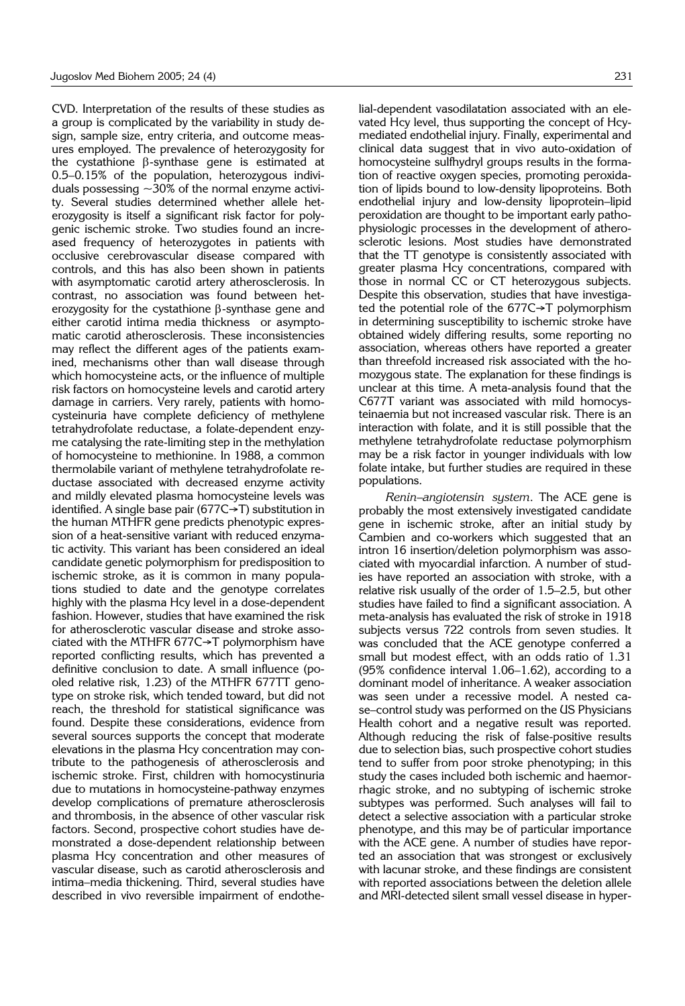CVD. Interpretation of the results of these studies as a group is complicated by the variability in study design, sample size, entry criteria, and outcome measures employed. The prevalence of heterozygosity for the cystathione  $\beta$ -synthase gene is estimated at 0.5–0.15% of the population, heterozygous individuals possessing  $\sim$ 30% of the normal enzyme activity. Several studies determined whether allele heterozygosity is itself a significant risk factor for polygenic ischemic stroke. Two studies found an increased frequency of heterozygotes in patients with occlusive cerebrovascular disease compared with controls, and this has also been shown in patients with asymptomatic carotid artery atherosclerosis. In contrast, no association was found between heterozygosity for the cystathione  $\beta$ -synthase gene and either carotid intima media thickness or asymptomatic carotid atherosclerosis. These inconsistencies may reflect the different ages of the patients examined, mechanisms other than wall disease through which homocysteine acts, or the influence of multiple risk factors on homocysteine levels and carotid artery damage in carriers. Very rarely, patients with homocysteinuria have complete deficiency of methylene tetrahydrofolate reductase, a folate-dependent enzyme catalysing the rate-limiting step in the methylation of homocysteine to methionine. In 1988, a common thermolabile variant of methylene tetrahydrofolate reductase associated with decreased enzyme activity and mildly elevated plasma homocysteine levels was identified. A single base pair (677C→T) substitution in the human MTHFR gene predicts phenotypic expression of a heat-sensitive variant with reduced enzymatic activity. This variant has been considered an ideal candidate genetic polymorphism for predisposition to ischemic stroke, as it is common in many populations studied to date and the genotype correlates highly with the plasma Hcy level in a dose-dependent fashion. However, studies that have examined the risk for atherosclerotic vascular disease and stroke associated with the MTHFR 677C→T polymorphism have reported conflicting results, which has prevented a definitive conclusion to date. A small influence (pooled relative risk, 1.23) of the MTHFR 677TT genotype on stroke risk, which tended toward, but did not reach, the threshold for statistical significance was found. Despite these considerations, evidence from several sources supports the concept that moderate elevations in the plasma Hcy concentration may contribute to the pathogenesis of atherosclerosis and ischemic stroke. First, children with homocystinuria due to mutations in homocysteine-pathway enzymes develop complications of premature atherosclerosis and thrombosis, in the absence of other vascular risk factors. Second, prospective cohort studies have demonstrated a dose-dependent relationship between plasma Hcy concentration and other measures of vascular disease, such as carotid atherosclerosis and intima–media thickening. Third, several studies have described in vivo reversible impairment of endothe-

lial-dependent vasodilatation associated with an elevated Hcy level, thus supporting the concept of Hcymediated endothelial injury. Finally, experimental and clinical data suggest that in vivo auto-oxidation of homocysteine sulfhydryl groups results in the formation of reactive oxygen species, promoting peroxidation of lipids bound to low-density lipoproteins. Both endothelial injury and low-density lipoprotein–lipid peroxidation are thought to be important early pathophysiologic processes in the development of atherosclerotic lesions. Most studies have demonstrated that the TT genotype is consistently associated with greater plasma Hcy concentrations, compared with those in normal CC or CT heterozygous subjects. Despite this observation, studies that have investigated the potential role of the 677C→T polymorphism in determining susceptibility to ischemic stroke have obtained widely differing results, some reporting no association, whereas others have reported a greater than threefold increased risk associated with the homozygous state. The explanation for these findings is unclear at this time. A meta-analysis found that the C677T variant was associated with mild homocysteinaemia but not increased vascular risk. There is an interaction with folate, and it is still possible that the methylene tetrahydrofolate reductase polymorphism may be a risk factor in younger individuals with low folate intake, but further studies are required in these populations.

*Renin–angiotensin system*. The ACE gene is probably the most extensively investigated candidate gene in ischemic stroke, after an initial study by Cambien and co-workers which suggested that an intron 16 insertion/deletion polymorphism was associated with myocardial infarction. A number of studies have reported an association with stroke, with a relative risk usually of the order of 1.5–2.5, but other studies have failed to find a significant association. A meta-analysis has evaluated the risk of stroke in 1918 subjects versus 722 controls from seven studies. It was concluded that the ACE genotype conferred a small but modest effect, with an odds ratio of 1.31 (95% confidence interval 1.06–1.62), according to a dominant model of inheritance. A weaker association was seen under a recessive model. A nested case–control study was performed on the US Physicians Health cohort and a negative result was reported. Although reducing the risk of false-positive results due to selection bias, such prospective cohort studies tend to suffer from poor stroke phenotyping; in this study the cases included both ischemic and haemorrhagic stroke, and no subtyping of ischemic stroke subtypes was performed. Such analyses will fail to detect a selective association with a particular stroke phenotype, and this may be of particular importance with the ACE gene. A number of studies have reported an association that was strongest or exclusively with lacunar stroke, and these findings are consistent with reported associations between the deletion allele and MRI-detected silent small vessel disease in hyper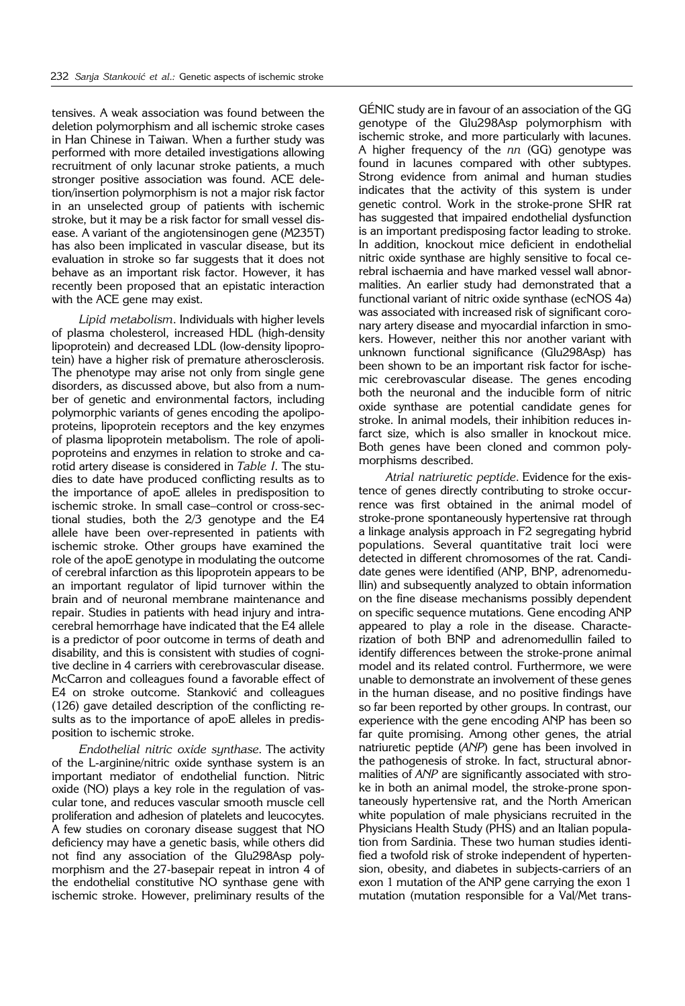tensives. A weak association was found between the deletion polymorphism and all ischemic stroke cases in Han Chinese in Taiwan. When a further study was performed with more detailed investigations allowing recruitment of only lacunar stroke patients, a much stronger positive association was found. ACE deletion/insertion polymorphism is not a major risk factor in an unselected group of patients with ischemic stroke, but it may be a risk factor for small vessel disease. A variant of the angiotensinogen gene (M235T) has also been implicated in vascular disease, but its evaluation in stroke so far suggests that it does not behave as an important risk factor. However, it has recently been proposed that an epistatic interaction with the ACE gene may exist.

*Lipid metabolism*. Individuals with higher levels of plasma cholesterol, increased HDL (high-density lipoprotein) and decreased LDL (low-density lipoprotein) have a higher risk of premature atherosclerosis. The phenotype may arise not only from single gene disorders, as discussed above, but also from a number of genetic and environmental factors, including polymorphic variants of genes encoding the apolipoproteins, lipoprotein receptors and the key enzymes of plasma lipoprotein metabolism. The role of apolipoproteins and enzymes in relation to stroke and carotid artery disease is considered in *Table I*. The studies to date have produced conflicting results as to the importance of apoE alleles in predisposition to ischemic stroke. In small case–control or cross-sectional studies, both the 2/3 genotype and the E4 allele have been over-represented in patients with ischemic stroke. Other groups have examined the role of the apoE genotype in modulating the outcome of cerebral infarction as this lipoprotein appears to be an important regulator of lipid turnover within the brain and of neuronal membrane maintenance and repair. Studies in patients with head injury and intracerebral hemorrhage have indicated that the E4 allele is a predictor of poor outcome in terms of death and disability, and this is consistent with studies of cognitive decline in 4 carriers with cerebrovascular disease. McCarron and colleagues found a favorable effect of E4 on stroke outcome. Stanković and colleagues (126) gave detailed description of the conflicting results as to the importance of apoE alleles in predisposition to ischemic stroke.

*Endothelial nitric oxide synthase*. The activity of the L-arginine/nitric oxide synthase system is an important mediator of endothelial function. Nitric oxide (NO) plays a key role in the regulation of vascular tone, and reduces vascular smooth muscle cell proliferation and adhesion of platelets and leucocytes. A few studies on coronary disease suggest that NO deficiency may have a genetic basis, while others did not find any association of the Glu298Asp polymorphism and the 27-basepair repeat in intron 4 of the endothelial constitutive NO synthase gene with ischemic stroke. However, preliminary results of the

GÉNIC study are in favour of an association of the GG genotype of the Glu298Asp polymorphism with ischemic stroke, and more particularly with lacunes. A higher frequency of the *nn* (GG) genotype was found in lacunes compared with other subtypes. Strong evidence from animal and human studies indicates that the activity of this system is under genetic control. Work in the stroke-prone SHR rat has suggested that impaired endothelial dysfunction is an important predisposing factor leading to stroke. In addition, knockout mice deficient in endothelial nitric oxide synthase are highly sensitive to focal cerebral ischaemia and have marked vessel wall abnormalities. An earlier study had demonstrated that a functional variant of nitric oxide synthase (ecNOS 4a) was associated with increased risk of significant coronary artery disease and myocardial infarction in smokers. However, neither this nor another variant with unknown functional significance (Glu298Asp) has been shown to be an important risk factor for ischemic cerebrovascular disease. The genes encoding both the neuronal and the inducible form of nitric oxide synthase are potential candidate genes for stroke. In animal models, their inhibition reduces infarct size, which is also smaller in knockout mice. Both genes have been cloned and common polymorphisms described.

*Atrial natriuretic peptide*. Evidence for the existence of genes directly contributing to stroke occurrence was first obtained in the animal model of stroke-prone spontaneously hypertensive rat through a linkage analysis approach in F2 segregating hybrid populations. Several quantitative trait loci were detected in different chromosomes of the rat. Candidate genes were identified (ANP, BNP, adrenomedullin) and subsequently analyzed to obtain information on the fine disease mechanisms possibly dependent on specific sequence mutations. Gene encoding ANP appeared to play a role in the disease. Characterization of both BNP and adrenomedullin failed to identify differences between the stroke-prone animal model and its related control. Furthermore, we were unable to demonstrate an involvement of these genes in the human disease, and no positive findings have so far been reported by other groups. In contrast, our experience with the gene encoding ANP has been so far quite promising. Among other genes, the atrial natriuretic peptide (*ANP*) gene has been involved in the pathogenesis of stroke. In fact, structural abnormalities of *ANP* are significantly associated with stroke in both an animal model, the stroke-prone spontaneously hypertensive rat, and the North American white population of male physicians recruited in the Physicians Health Study (PHS) and an Italian population from Sardinia. These two human studies identified a twofold risk of stroke independent of hypertension, obesity, and diabetes in subjects-carriers of an exon 1 mutation of the ANP gene carrying the exon 1 mutation (mutation responsible for a Val/Met trans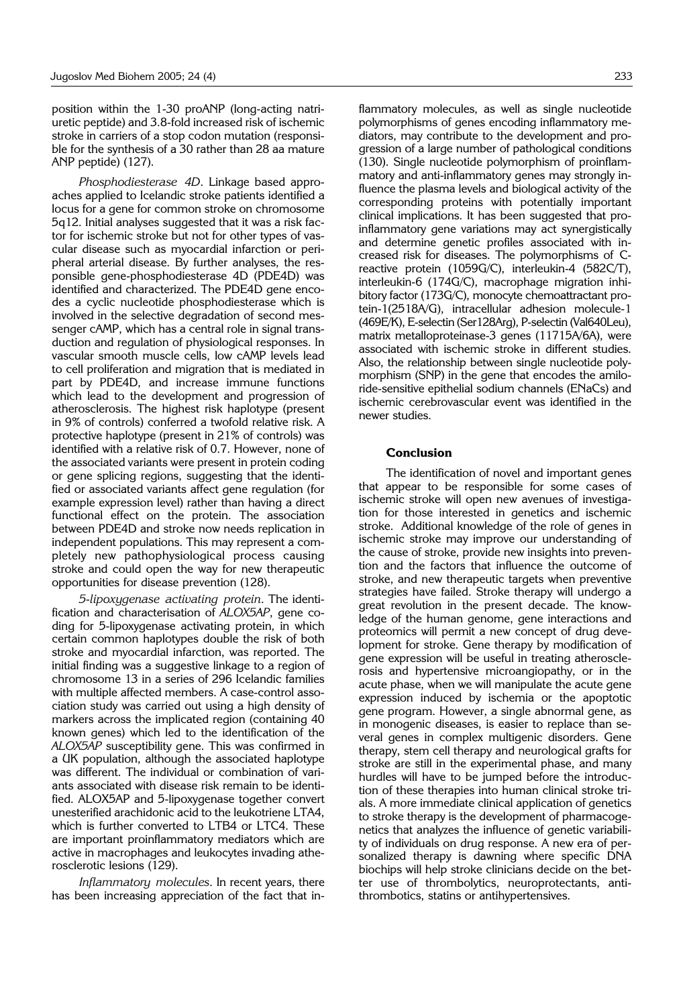position within the 1-30 proANP (long-acting natriuretic peptide) and 3.8-fold increased risk of ischemic stroke in carriers of a stop codon mutation (responsible for the synthesis of a 30 rather than 28 aa mature ANP peptide) (127).

*Phosphodiesterase 4D*. Linkage based approaches applied to Icelandic stroke patients identified a locus for a gene for common stroke on chromosome 5q12. Initial analyses suggested that it was a risk factor for ischemic stroke but not for other types of vascular disease such as myocardial infarction or peripheral arterial disease. By further analyses, the responsible gene-phosphodiesterase 4D (PDE4D) was identified and characterized. The PDE4D gene encodes a cyclic nucleotide phosphodiesterase which is involved in the selective degradation of second messenger cAMP, which has a central role in signal transduction and regulation of physiological responses. In vascular smooth muscle cells, low cAMP levels lead to cell proliferation and migration that is mediated in part by PDE4D, and increase immune functions which lead to the development and progression of atherosclerosis. The highest risk haplotype (present in 9% of controls) conferred a twofold relative risk. A protective haplotype (present in 21% of controls) was identified with a relative risk of 0.7. However, none of the associated variants were present in protein coding or gene splicing regions, suggesting that the identified or associated variants affect gene regulation (for example expression level) rather than having a direct functional effect on the protein. The association between PDE4D and stroke now needs replication in independent populations. This may represent a completely new pathophysiological process causing stroke and could open the way for new therapeutic opportunities for disease prevention (128).

*5*-*lipoxygenase activating protein*. The identification and characterisation of *ALOX5AP*, gene coding for 5-lipoxygenase activating protein, in which certain common haplotypes double the risk of both stroke and myocardial infarction, was reported. The initial finding was a suggestive linkage to a region of chromosome 13 in a series of 296 Icelandic families with multiple affected members. A case-control association study was carried out using a high density of markers across the implicated region (containing 40 known genes) which led to the identification of the *ALOX5AP* susceptibility gene. This was confirmed in a UK population, although the associated haplotype was different. The individual or combination of variants associated with disease risk remain to be identified. ALOX5AP and 5-lipoxygenase together convert unesterified arachidonic acid to the leukotriene LTA4, which is further converted to LTB4 or LTC4. These are important proinflammatory mediators which are active in macrophages and leukocytes invading atherosclerotic lesions (129).

*Inflammatory molecules*. In recent years, there has been increasing appreciation of the fact that in-

flammatory molecules, as well as single nucleotide polymorphisms of genes encoding inflammatory mediators, may contribute to the development and progression of a large number of pathological conditions (130). Single nucleotide polymorphism of proinflammatory and anti-inflammatory genes may strongly influence the plasma levels and biological activity of the corresponding proteins with potentially important clinical implications. It has been suggested that proinflammatory gene variations may act synergistically and determine genetic profiles associated with increased risk for diseases. The polymorphisms of Creactive protein (1059G/C), interleukin-4 (582C/T), interleukin-6 (174G/C), macrophage migration inhibitory factor (173G/C), monocyte chemoattractant protein-1(2518A/G), intracellular adhesion molecule-1 (469E/K), E-selectin (Ser128Arg), P-selectin (Val640Leu), matrix metalloproteinase-3 genes (11715A/6A), were associated with ischemic stroke in different studies. Also, the relationship between single nucleotide polymorphism (SNP) in the gene that encodes the amiloride-sensitive epithelial sodium channels (ENaCs) and ischemic cerebrovascular event was identified in the newer studies.

# **Conclusion**

The identification of novel and important genes that appear to be responsible for some cases of ischemic stroke will open new avenues of investigation for those interested in genetics and ischemic stroke. Additional knowledge of the role of genes in ischemic stroke may improve our understanding of the cause of stroke, provide new insights into prevention and the factors that influence the outcome of stroke, and new therapeutic targets when preventive strategies have failed. Stroke therapy will undergo a great revolution in the present decade. The knowledge of the human genome, gene interactions and proteomics will permit a new concept of drug development for stroke. Gene therapy by modification of gene expression will be useful in treating atherosclerosis and hypertensive microangiopathy, or in the acute phase, when we will manipulate the acute gene expression induced by ischemia or the apoptotic gene program. However, a single abnormal gene, as in monogenic diseases, is easier to replace than several genes in complex multigenic disorders. Gene therapy, stem cell therapy and neurological grafts for stroke are still in the experimental phase, and many hurdles will have to be jumped before the introduction of these therapies into human clinical stroke trials. A more immediate clinical application of genetics to stroke therapy is the development of pharmacogenetics that analyzes the influence of genetic variability of individuals on drug response. A new era of personalized therapy is dawning where specific DNA biochips will help stroke clinicians decide on the better use of thrombolytics, neuroprotectants, antithrombotics, statins or antihypertensives.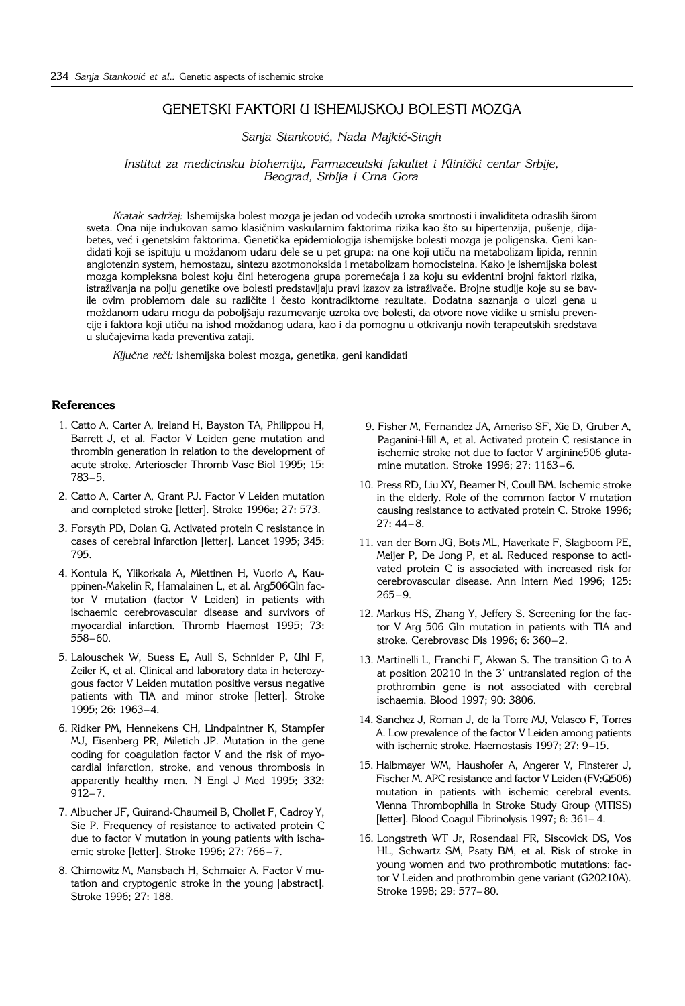# GENETSKI FAKTORI U ISHEMIJSKOJ BOLESTI MOZGA

*Sanja Stankovi}, Nada Majki}*-*Singh*

Institut za medicinsku biohemiju, Farmaceutski fakultet i Klinički centar Srbije, *Beograd, Srbija i Crna Gora*

Kratak sadržaj: Ishemijska bolest mozga je jedan od vodećih uzroka smrtnosti i invaliditeta odraslih širom sveta. Ona nije indukovan samo klasičnim vaskularnim faktorima rizika kao što su hipertenzija, pušenje, dijabetes, već i genetskim faktorima. Genetička epidemiologija ishemijske bolesti mozga je poligenska. Geni kandidati koji se ispituju u moždanom udaru dele se u pet grupa: na one koji utiču na metabolizam lipida, rennin angiotenzin system, hemostazu, sintezu azotmonoksida i metabolizam homocisteina. Kako je ishemijska bolest mozga kompleksna bolest koju čini heterogena grupa poremećaja i za koju su evidentni brojni faktori rizika, istraživanja na polju genetike ove bolesti predstavljaju pravi izazov za istraživače. Brojne studije koje su se bavile ovim problemom dale su različite i često kontradiktorne rezultate. Dodatna saznanja o ulozi gena u moždanom udaru mogu da poboljšaju razumevanje uzroka ove bolesti, da otvore nove vidike u smislu prevencije i faktora koji utiču na ishod moždanog udara, kao i da pomognu u otkrivanju novih terapeutskih sredstava u slučajevima kada preventiva zataji.

Ključne reči: ishemijska bolest mozga, genetika, geni kandidati

### **References**

- 1. Catto A, Carter A, Ireland H, Bayston TA, Philippou H, Barrett J, et al. Factor V Leiden gene mutation and thrombin generation in relation to the development of acute stroke. Arterioscler Thromb Vasc Biol 1995; 15: 783–5.
- 2. Catto A, Carter A, Grant PJ. Factor V Leiden mutation and completed stroke [letter]. Stroke 1996a; 27: 573.
- 3. Forsyth PD, Dolan G. Activated protein C resistance in cases of cerebral infarction [letter]. Lancet 1995; 345: 795.
- 4. Kontula K, Ylikorkala A, Miettinen H, Vuorio A, Kauppinen-Makelin R, Hamalainen L, et al. Arg506Gln factor V mutation (factor V Leiden) in patients with ischaemic cerebrovascular disease and survivors of myocardial infarction. Thromb Haemost 1995; 73: 558–60.
- 5. Lalouschek W, Suess E, Aull S, Schnider P, Uhl F, Zeiler K, et al. Clinical and laboratory data in heterozygous factor V Leiden mutation positive versus negative patients with TIA and minor stroke [letter]. Stroke 1995; 26: 1963–4.
- 6. Ridker PM, Hennekens CH, Lindpaintner K, Stampfer MJ, Eisenberg PR, Miletich JP. Mutation in the gene coding for coagulation factor V and the risk of myocardial infarction, stroke, and venous thrombosis in apparently healthy men. N Engl J Med 1995; 332: 912–7.
- 7. Albucher JF, Guirand-Chaumeil B, Chollet F, Cadroy Y, Sie P. Frequency of resistance to activated protein C due to factor V mutation in young patients with ischaemic stroke [letter]. Stroke 1996; 27: 766 –7.
- 8. Chimowitz M, Mansbach H, Schmaier A. Factor V mutation and cryptogenic stroke in the young [abstract]. Stroke 1996; 27: 188.
- 9. Fisher M, Fernandez JA, Ameriso SF, Xie D, Gruber A, Paganini-Hill A, et al. Activated protein C resistance in ischemic stroke not due to factor V arginine506 glutamine mutation. Stroke 1996; 27: 1163–6.
- 10. Press RD, Liu XY, Beamer N, Coull BM. Ischemic stroke in the elderly. Role of the common factor V mutation causing resistance to activated protein C. Stroke 1996; 27: 44– 8.
- 11. van der Bom JG, Bots ML, Haverkate F, Slagboom PE, Meijer P, De Jong P, et al. Reduced response to activated protein C is associated with increased risk for cerebrovascular disease. Ann Intern Med 1996; 125: 265–9.
- 12. Markus HS, Zhang Y, Jeffery S. Screening for the factor V Arg 506 Gln mutation in patients with TIA and stroke. Cerebrovasc Dis 1996; 6: 360–2.
- 13. Martinelli L, Franchi F, Akwan S. The transition G to A at position 20210 in the 3' untranslated region of the prothrombin gene is not associated with cerebral ischaemia. Blood 1997; 90: 3806.
- 14. Sanchez J, Roman J, de la Torre MJ, Velasco F, Torres A. Low prevalence of the factor V Leiden among patients with ischemic stroke. Haemostasis 1997; 27: 9–15.
- 15. Halbmayer WM, Haushofer A, Angerer V, Finsterer J, Fischer M. APC resistance and factor V Leiden (FV:Q506) mutation in patients with ischemic cerebral events. Vienna Thrombophilia in Stroke Study Group (VITISS) [letter]. Blood Coagul Fibrinolysis 1997; 8: 361– 4.
- 16. Longstreth WT Jr, Rosendaal FR, Siscovick DS, Vos HL, Schwartz SM, Psaty BM, et al. Risk of stroke in young women and two prothrombotic mutations: factor V Leiden and prothrombin gene variant (G20210A). Stroke 1998; 29: 577– 80.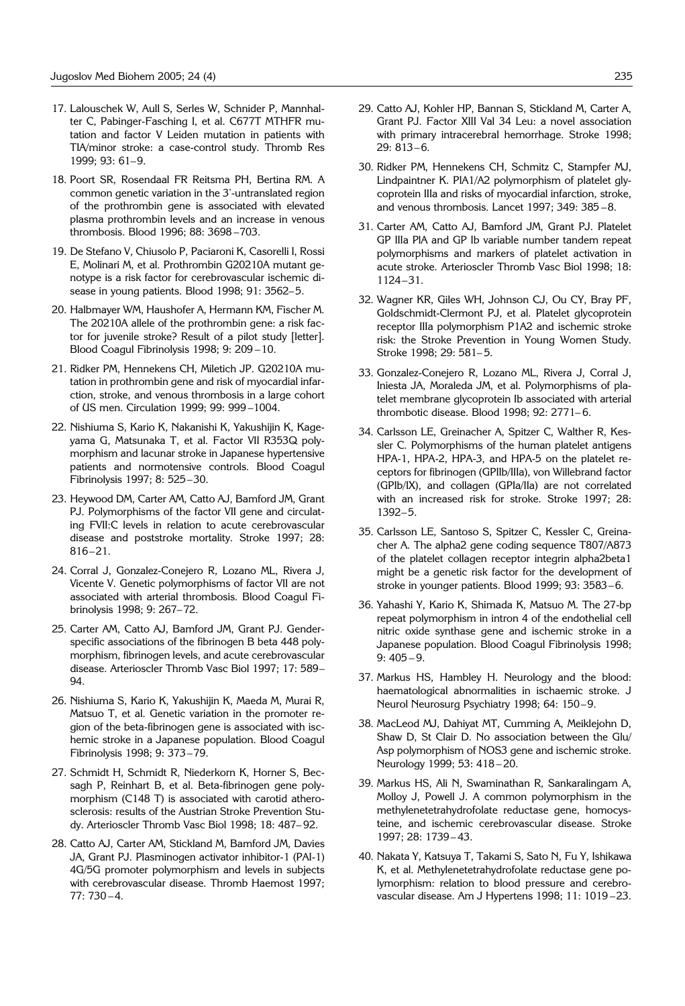- 17. Lalouschek W, Aull S, Serles W, Schnider P, Mannhalter C, Pabinger-Fasching I, et al. C677T MTHFR mutation and factor V Leiden mutation in patients with TIA/minor stroke: a case-control study. Thromb Res 1999; 93: 61–9.
- 18. Poort SR, Rosendaal FR Reitsma PH, Bertina RM. A common genetic variation in the 3'-untranslated region of the prothrombin gene is associated with elevated plasma prothrombin levels and an increase in venous thrombosis. Blood 1996; 88: 3698 –703.
- 19. De Stefano V, Chiusolo P, Paciaroni K, Casorelli I, Rossi E, Molinari M, et al. Prothrombin G20210A mutant genotype is a risk factor for cerebrovascular ischemic disease in young patients. Blood 1998; 91: 3562–5.
- 20. Halbmayer WM, Haushofer A, Hermann KM, Fischer M. The 20210A allele of the prothrombin gene: a risk factor for juvenile stroke? Result of a pilot study [letter]. Blood Coagul Fibrinolysis 1998; 9: 209 –10.
- 21. Ridker PM, Hennekens CH, Miletich JP. G20210A mutation in prothrombin gene and risk of myocardial infarction, stroke, and venous thrombosis in a large cohort of US men. Circulation 1999; 99: 999 –1004.
- 22. Nishiuma S, Kario K, Nakanishi K, Yakushijin K, Kageyama G, Matsunaka T, et al. Factor VII R353Q polymorphism and lacunar stroke in Japanese hypertensive patients and normotensive controls. Blood Coagul Fibrinolysis 1997; 8: 525–30.
- 23. Heywood DM, Carter AM, Catto AJ, Bamford JM, Grant PJ. Polymorphisms of the factor VII gene and circulating FVII:C levels in relation to acute cerebrovascular disease and poststroke mortality. Stroke 1997; 28: 816–21.
- 24. Corral J, Gonzalez-Conejero R, Lozano ML, Rivera J, Vicente V. Genetic polymorphisms of factor VII are not associated with arterial thrombosis. Blood Coagul Fibrinolysis 1998; 9: 267–72.
- 25. Carter AM, Catto AJ, Bamford JM, Grant PJ. Genderspecific associations of the fibrinogen B beta 448 polymorphism, fibrinogen levels, and acute cerebrovascular disease. Arterioscler Thromb Vasc Biol 1997; 17: 589– 94.
- 26. Nishiuma S, Kario K, Yakushijin K, Maeda M, Murai R, Matsuo T, et al. Genetic variation in the promoter region of the beta-fibrinogen gene is associated with ischemic stroke in a Japanese population. Blood Coagul Fibrinolysis 1998; 9: 373–79.
- 27. Schmidt H, Schmidt R, Niederkorn K, Horner S, Becsagh P, Reinhart B, et al. Beta-fibrinogen gene polymorphism (C148 T) is associated with carotid atherosclerosis: results of the Austrian Stroke Prevention Study. Arterioscler Thromb Vasc Biol 1998; 18: 487– 92.
- 28. Catto AJ, Carter AM, Stickland M, Bamford JM, Davies JA, Grant PJ. Plasminogen activator inhibitor-1 (PAI-1) 4G/5G promoter polymorphism and levels in subjects with cerebrovascular disease. Thromb Haemost 1997; 77: 730 –4.
- 29. Catto AJ, Kohler HP, Bannan S, Stickland M, Carter A, Grant PJ. Factor XIII Val 34 Leu: a novel association with primary intracerebral hemorrhage. Stroke 1998;  $29: 813-6.$
- 30. Ridker PM, Hennekens CH, Schmitz C, Stampfer MJ, Lindpaintner K. PIA1/A2 polymorphism of platelet glycoprotein IIIa and risks of myocardial infarction, stroke, and venous thrombosis. Lancet 1997; 349: 385 –8.
- 31. Carter AM, Catto AJ, Bamford JM, Grant PJ. Platelet GP IIIa PlA and GP Ib variable number tandem repeat polymorphisms and markers of platelet activation in acute stroke. Arterioscler Thromb Vasc Biol 1998; 18: 1124–31.
- 32. Wagner KR, Giles WH, Johnson CJ, Ou CY, Bray PF, Goldschmidt-Clermont PJ, et al. Platelet glycoprotein receptor IIIa polymorphism P1A2 and ischemic stroke risk: the Stroke Prevention in Young Women Study. Stroke 1998; 29: 581-5.
- 33. Gonzalez-Conejero R, Lozano ML, Rivera J, Corral J, Iniesta JA, Moraleda JM, et al. Polymorphisms of platelet membrane glycoprotein Ib associated with arterial thrombotic disease. Blood 1998; 92: 2771– 6.
- 34. Carlsson LE, Greinacher A, Spitzer C, Walther R, Kessler C. Polymorphisms of the human platelet antigens HPA-1, HPA-2, HPA-3, and HPA-5 on the platelet receptors for fibrinogen (GPIIb/IIIa), von Willebrand factor (GPIb/IX), and collagen (GPIa/IIa) are not correlated with an increased risk for stroke. Stroke 1997; 28: 1392–5.
- 35. Carlsson LE, Santoso S, Spitzer C, Kessler C, Greinacher A. The alpha2 gene coding sequence T807/A873 of the platelet collagen receptor integrin alpha2beta1 might be a genetic risk factor for the development of stroke in younger patients. Blood 1999; 93: 3583–6.
- 36. Yahashi Y, Kario K, Shimada K, Matsuo M. The 27-bp repeat polymorphism in intron 4 of the endothelial cell nitric oxide synthase gene and ischemic stroke in a Japanese population. Blood Coagul Fibrinolysis 1998; 9: 405 – 9.
- 37. Markus HS, Hambley H. Neurology and the blood: haematological abnormalities in ischaemic stroke. J Neurol Neurosurg Psychiatry 1998; 64: 150–9.
- 38. MacLeod MJ, Dahiyat MT, Cumming A, Meiklejohn D, Shaw D, St Clair D. No association between the Glu/ Asp polymorphism of NOS3 gene and ischemic stroke. Neurology 1999; 53: 418 – 20.
- 39. Markus HS, Ali N, Swaminathan R, Sankaralingam A, Molloy J, Powell J. A common polymorphism in the methylenetetrahydrofolate reductase gene, homocysteine, and ischemic cerebrovascular disease. Stroke 1997; 28: 1739– 43.
- 40. Nakata Y, Katsuya T, Takami S, Sato N, Fu Y, Ishikawa K, et al. Methylenetetrahydrofolate reductase gene polymorphism: relation to blood pressure and cerebrovascular disease. Am J Hypertens 1998; 11: 1019 –23.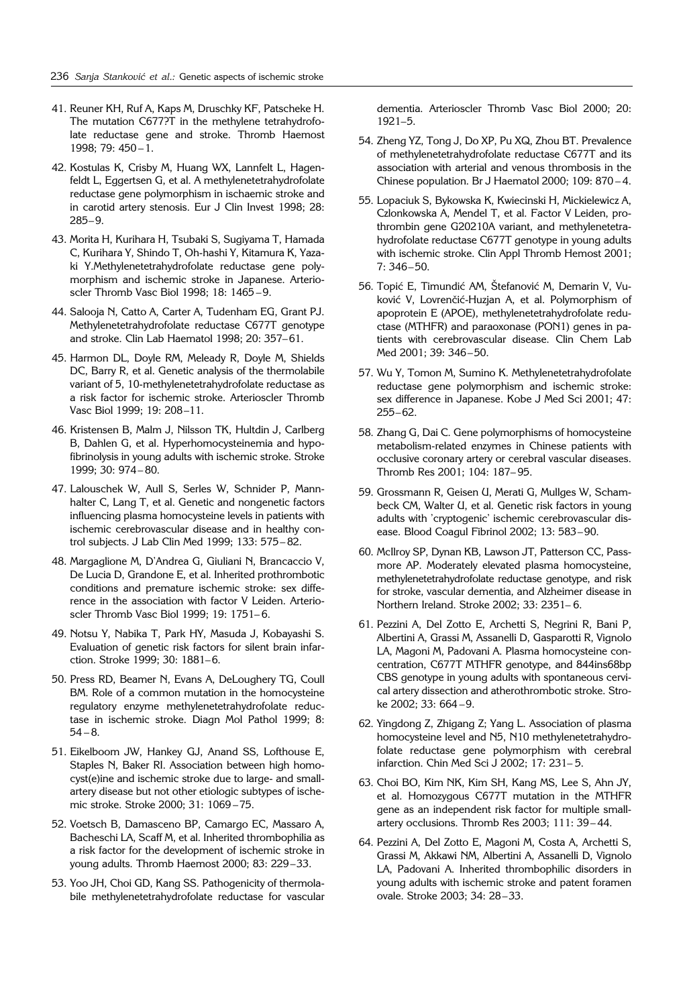- 41. Reuner KH, Ruf A, Kaps M, Druschky KF, Patscheke H. The mutation C677?T in the methylene tetrahydrofolate reductase gene and stroke. Thromb Haemost 1998; 79: 450 –1.
- 42. Kostulas K, Crisby M, Huang WX, Lannfelt L, Hagenfeldt L, Eggertsen G, et al. A methylenetetrahydrofolate reductase gene polymorphism in ischaemic stroke and in carotid artery stenosis. Eur J Clin Invest 1998; 28: 285–9.
- 43. Morita H, Kurihara H, Tsubaki S, Sugiyama T, Hamada C, Kurihara Y, Shindo T, Oh-hashi Y, Kitamura K, Yazaki Y.Methylenetetrahydrofolate reductase gene polymorphism and ischemic stroke in Japanese. Arterioscler Thromb Vasc Biol 1998; 18: 1465 –9.
- 44. Salooja N, Catto A, Carter A, Tudenham EG, Grant PJ. Methylenetetrahydrofolate reductase C677T genotype and stroke. Clin Lab Haematol 1998; 20: 357–61.
- 45. Harmon DL, Doyle RM, Meleady R, Doyle M, Shields DC, Barry R, et al. Genetic analysis of the thermolabile variant of 5, 10-methylenetetrahydrofolate reductase as a risk factor for ischemic stroke. Arterioscler Thromb Vasc Biol 1999; 19: 208–11.
- 46. Kristensen B, Malm J, Nilsson TK, Hultdin J, Carlberg B, Dahlen G, et al. Hyperhomocysteinemia and hypofibrinolysis in young adults with ischemic stroke. Stroke 1999; 30: 974– 80.
- 47. Lalouschek W, Aull S, Serles W, Schnider P, Mannhalter C, Lang T, et al. Genetic and nongenetic factors influencing plasma homocysteine levels in patients with ischemic cerebrovascular disease and in healthy control subjects. J Lab Clin Med 1999; 133: 575– 82.
- 48. Margaglione M, D'Andrea G, Giuliani N, Brancaccio V, De Lucia D, Grandone E, et al. Inherited prothrombotic conditions and premature ischemic stroke: sex difference in the association with factor V Leiden. Arterioscler Thromb Vasc Biol 1999; 19: 1751– 6.
- 49. Notsu Y, Nabika T, Park HY, Masuda J, Kobayashi S. Evaluation of genetic risk factors for silent brain infarction. Stroke 1999; 30: 1881–6.
- 50. Press RD, Beamer N, Evans A, DeLoughery TG, Coull BM. Role of a common mutation in the homocysteine regulatory enzyme methylenetetrahydrofolate reductase in ischemic stroke. Diagn Mol Pathol 1999; 8:  $54 - 8.$
- 51. Eikelboom JW, Hankey GJ, Anand SS, Lofthouse E, Staples N, Baker RI. Association between high homocyst(e)ine and ischemic stroke due to large- and smallartery disease but not other etiologic subtypes of ischemic stroke. Stroke 2000; 31: 1069 –75.
- 52. Voetsch B, Damasceno BP, Camargo EC, Massaro A, Bacheschi LA, Scaff M, et al. Inherited thrombophilia as a risk factor for the development of ischemic stroke in young adults. Thromb Haemost 2000; 83: 229–33.
- 53. Yoo JH, Choi GD, Kang SS. Pathogenicity of thermolabile methylenetetrahydrofolate reductase for vascular

dementia. Arterioscler Thromb Vasc Biol 2000; 20: 1921–5.

- 54. Zheng YZ, Tong J, Do XP, Pu XQ, Zhou BT. Prevalence of methylenetetrahydrofolate reductase C677T and its association with arterial and venous thrombosis in the Chinese population. Br J Haematol 2000; 109: 870 – 4.
- 55. Lopaciuk S, Bykowska K, Kwiecinski H, Mickielewicz A, Czlonkowska A, Mendel T, et al. Factor V Leiden, prothrombin gene G20210A variant, and methylenetetrahydrofolate reductase C677T genotype in young adults with ischemic stroke. Clin Appl Thromb Hemost 2001; 7: 346–50.
- 56. Topić E, Timundić AM, Štefanović M, Demarin V, Vuković V, Lovrenčić-Huzjan A, et al. Polymorphism of apoprotein E (APOE), methylenetetrahydrofolate reductase (MTHFR) and paraoxonase (PON1) genes in patients with cerebrovascular disease. Clin Chem Lab Med 2001; 39: 346–50.
- 57. Wu Y, Tomon M, Sumino K. Methylenetetrahydrofolate reductase gene polymorphism and ischemic stroke: sex difference in Japanese. Kobe J Med Sci 2001; 47: 255–62.
- 58. Zhang G, Dai C. Gene polymorphisms of homocysteine metabolism-related enzymes in Chinese patients with occlusive coronary artery or cerebral vascular diseases. Thromb Res 2001; 104: 187– 95.
- 59. Grossmann R, Geisen U, Merati G, Mullges W, Schambeck CM, Walter U, et al. Genetic risk factors in young adults with 'cryptogenic' ischemic cerebrovascular disease. Blood Coagul Fibrinol 2002; 13: 583–90.
- 60. McIlroy SP, Dynan KB, Lawson JT, Patterson CC, Passmore AP. Moderately elevated plasma homocysteine, methylenetetrahydrofolate reductase genotype, and risk for stroke, vascular dementia, and Alzheimer disease in Northern Ireland. Stroke 2002; 33: 2351– 6.
- 61. Pezzini A, Del Zotto E, Archetti S, Negrini R, Bani P, Albertini A, Grassi M, Assanelli D, Gasparotti R, Vignolo LA, Magoni M, Padovani A. Plasma homocysteine concentration, C677T MTHFR genotype, and 844ins68bp CBS genotype in young adults with spontaneous cervical artery dissection and atherothrombotic stroke. Stroke 2002; 33: 664 –9.
- 62. Yingdong Z, Zhigang Z; Yang L. Association of plasma homocysteine level and N5, N10 methylenetetrahydrofolate reductase gene polymorphism with cerebral infarction. Chin Med Sci J 2002; 17: 231– 5.
- 63. Choi BO, Kim NK, Kim SH, Kang MS, Lee S, Ahn JY, et al. Homozygous C677T mutation in the MTHFR gene as an independent risk factor for multiple smallartery occlusions. Thromb Res 2003; 111: 39– 44.
- 64. Pezzini A, Del Zotto E, Magoni M, Costa A, Archetti S, Grassi M, Akkawi NM, Albertini A, Assanelli D, Vignolo LA, Padovani A. Inherited thrombophilic disorders in young adults with ischemic stroke and patent foramen ovale. Stroke 2003; 34: 28–33.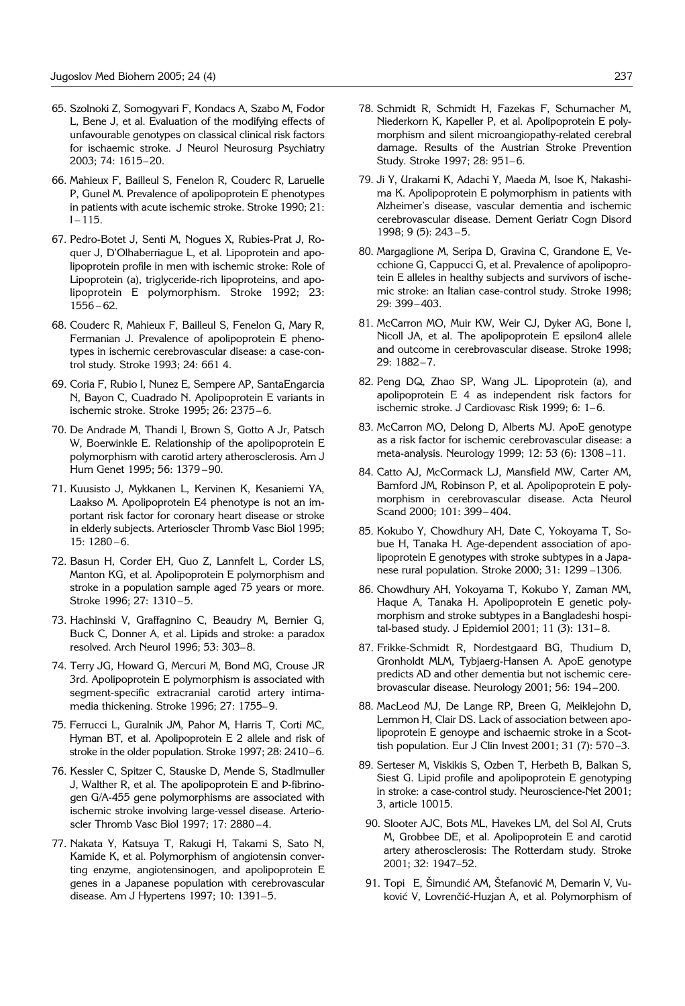- 65. Szolnoki Z, Somogyvari F, Kondacs A, Szabo M, Fodor L, Bene J, et al. Evaluation of the modifying effects of unfavourable genotypes on classical clinical risk factors for ischaemic stroke. J Neurol Neurosurg Psychiatry 2003; 74: 1615–20.
- 66. Mahieux F, Bailleul S, Fenelon R, Couderc R, Laruelle P, Gunel M. Prevalence of apolipoprotein E phenotypes in patients with acute ischemic stroke. Stroke 1990; 21:  $I - 115.$
- 67. Pedro-Botet J, Senti M, Nogues X, Rubies-Prat J, Roquer J, D'Olhaberriague L, et al. Lipoprotein and apolipoprotein profile in men with ischemic stroke: Role of Lipoprotein (a), triglyceride-rich lipoproteins, and apolipoprotein E polymorphism. Stroke 1992; 23: 1556 – 62.
- 68. Couderc R, Mahieux F, Bailleul S, Fenelon G, Mary R, Fermanian J. Prevalence of apolipoprotein E phenotypes in ischemic cerebrovascular disease: a case-control study. Stroke 1993; 24: 661 4.
- 69. Coria F, Rubio I, Nunez E, Sempere AP, SantaEngarcia N, Bayon C, Cuadrado N. Apolipoprotein E variants in ischemic stroke. Stroke 1995; 26: 2375–6.
- 70. De Andrade M, Thandi I, Brown S, Gotto A Jr, Patsch W, Boerwinkle E. Relationship of the apolipoprotein E polymorphism with carotid artery atherosclerosis. Am J Hum Genet 1995; 56: 1379 –90.
- 71. Kuusisto J, Mykkanen L, Kervinen K, Kesaniemi YA, Laakso M. Apolipoprotein E4 phenotype is not an important risk factor for coronary heart disease or stroke in elderly subjects. Arterioscler Thromb Vasc Biol 1995; 15: 1280 –6.
- 72. Basun H, Corder EH, Guo Z, Lannfelt L, Corder LS, Manton KG, et al. Apolipoprotein E polymorphism and stroke in a population sample aged 75 years or more. Stroke 1996; 27: 1310 –5.
- 73. Hachinski V, Graffagnino C, Beaudry M, Bernier G, Buck C, Donner A, et al. Lipids and stroke: a paradox resolved. Arch Neurol 1996; 53: 303–8.
- 74. Terry JG, Howard G, Mercuri M, Bond MG, Crouse JR 3rd. Apolipoprotein E polymorphism is associated with segment-specific extracranial carotid artery intimamedia thickening. Stroke 1996; 27: 1755–9.
- 75. Ferrucci L, Guralnik JM, Pahor M, Harris T, Corti MC, Hyman BT, et al. Apolipoprotein E 2 allele and risk of stroke in the older population. Stroke 1997; 28: 2410–6.
- 76. Kessler C, Spitzer C, Stauske D, Mende S, Stadlmuller J, Walther R, et al. The apolipoprotein E and P-fibrinogen G/A-455 gene polymorphisms are associated with ischemic stroke involving large-vessel disease. Arterioscler Thromb Vasc Biol 1997; 17: 2880 –4.
- 77. Nakata Y, Katsuya T, Rakugi H, Takami S, Sato N, Kamide K, et al. Polymorphism of angiotensin converting enzyme, angiotensinogen, and apolipoprotein E genes in a Japanese population with cerebrovascular disease. Am J Hypertens 1997; 10: 1391–5.
- 78. Schmidt R, Schmidt H, Fazekas F, Schumacher M, Niederkorn K, Kapeller P, et al. Apolipoprotein E polymorphism and silent microangiopathy-related cerebral damage. Results of the Austrian Stroke Prevention Study. Stroke 1997; 28: 951–6.
- 79. Ji Y, Urakami K, Adachi Y, Maeda M, Isoe K, Nakashima K. Apolipoprotein E polymorphism in patients with Alzheimer's disease, vascular dementia and ischemic cerebrovascular disease. Dement Geriatr Cogn Disord 1998; 9 (5): 243 –5.
- 80. Margaglione M, Seripa D, Gravina C, Grandone E, Vecchione G, Cappucci G, et al. Prevalence of apolipoprotein E alleles in healthy subjects and survivors of ischemic stroke: an Italian case-control study. Stroke 1998; 29: 399–403.
- 81. McCarron MO, Muir KW, Weir CJ, Dyker AG, Bone I, Nicoll JA, et al. The apolipoprotein E epsilon4 allele and outcome in cerebrovascular disease. Stroke 1998; 29: 1882–7.
- 82. Peng DQ, Zhao SP, Wang JL. Lipoprotein (a), and apolipoprotein E 4 as independent risk factors for ischemic stroke. J Cardiovasc Risk 1999; 6: 1–6.
- 83. McCarron MO, Delong D, Alberts MJ. ApoE genotype as a risk factor for ischemic cerebrovascular disease: a meta-analysis. Neurology 1999; 12: 53 (6): 1308 –11.
- 84. Catto AJ, McCormack LJ, Mansfield MW, Carter AM, Bamford JM, Robinson P, et al. Apolipoprotein E polymorphism in cerebrovascular disease. Acta Neurol Scand 2000; 101: 399– 404.
- 85. Kokubo Y, Chowdhury AH, Date C, Yokoyama T, Sobue H, Tanaka H. Age-dependent association of apolipoprotein E genotypes with stroke subtypes in a Japanese rural population. Stroke 2000; 31: 1299 –1306.
- 86. Chowdhury AH, Yokoyama T, Kokubo Y, Zaman MM, Haque A, Tanaka H. Apolipoprotein E genetic polymorphism and stroke subtypes in a Bangladeshi hospital-based study. J Epidemiol 2001; 11 (3): 131– 8.
- 87. Frikke-Schmidt R, Nordestgaard BG, Thudium D, Gronholdt MLM, Tybjaerg-Hansen A. ApoE genotype predicts AD and other dementia but not ischemic cerebrovascular disease. Neurology 2001; 56: 194–200.
- 88. MacLeod MJ, De Lange RP, Breen G, Meiklejohn D, Lemmon H, Clair DS. Lack of association between apolipoprotein E genoype and ischaemic stroke in a Scottish population. Eur J Clin Invest 2001; 31 (7): 570 –3.
- 89. Serteser M, Viskikis S, Ozben T, Herbeth B, Balkan S, Siest G. Lipid profile and apolipoprotein E genotyping in stroke: a case-control study. Neuroscience-Net 2001; 3, article 10015.
- 90. Slooter AJC, Bots ML, Havekes LM, del Sol AI, Cruts M, Grobbee DE, et al. Apolipoprotein E and carotid artery atherosclerosis: The Rotterdam study. Stroke 2001; 32: 1947–52.
- 91. Topi€E, Šimundić AM, Štefanović M, Demarin V, Vuković V, Lovrenčić-Huzjan A, et al. Polymorphism of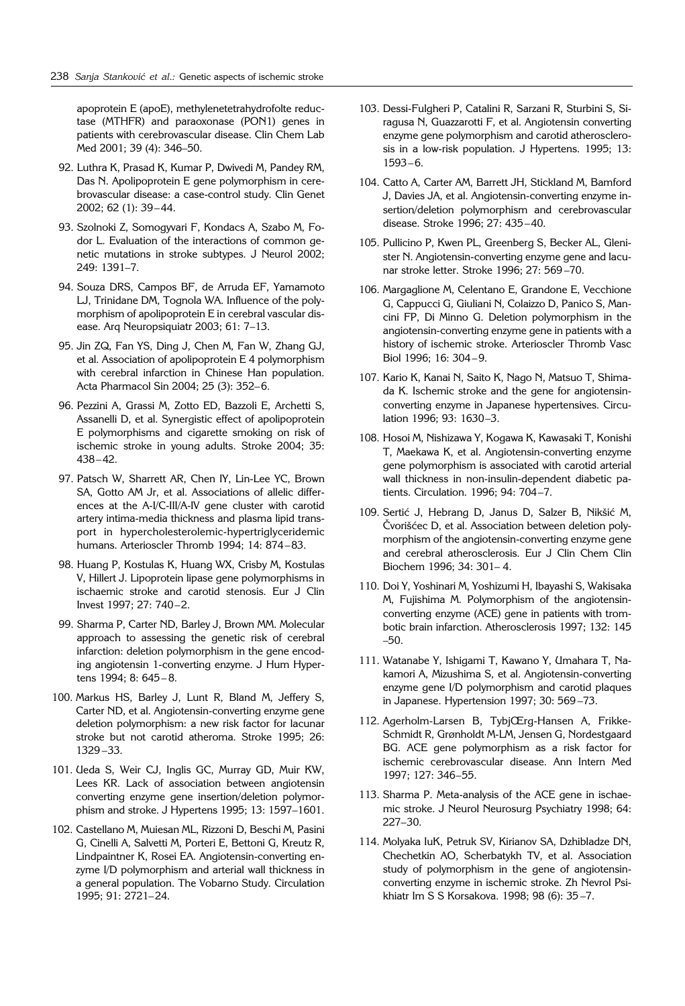apoprotein E (apoE), methylenetetrahydrofolte reductase (MTHFR) and paraoxonase (PON1) genes in patients with cerebrovascular disease. Clin Chem Lab Med 2001; 39 (4): 346–50.

- 92. Luthra K, Prasad K, Kumar P, Dwivedi M, Pandey RM, Das N. Apolipoprotein E gene polymorphism in cerebrovascular disease: a case-control study. Clin Genet 2002; 62 (1): 39–44.
- 93. Szolnoki Z, Somogyvari F, Kondacs A, Szabo M, Fodor L. Evaluation of the interactions of common genetic mutations in stroke subtypes. J Neurol 2002; 249: 1391–7.
- 94. Souza DRS, Campos BF, de Arruda EF, Yamamoto LJ, Trinidane DM, Tognola WA. Influence of the polymorphism of apolipoprotein E in cerebral vascular disease. Arq Neuropsiquiatr 2003; 61: 7–13.
- 95. Jin ZQ, Fan YS, Ding J, Chen M, Fan W, Zhang GJ, et al. Association of apolipoprotein E 4 polymorphism with cerebral infarction in Chinese Han population. Acta Pharmacol Sin 2004; 25 (3): 352–6.
- 96. Pezzini A, Grassi M, Zotto ED, Bazzoli E, Archetti S, Assanelli D, et al. Synergistic effect of apolipoprotein E polymorphisms and cigarette smoking on risk of ischemic stroke in young adults. Stroke 2004; 35: 438–42.
- 97. Patsch W, Sharrett AR, Chen IY, Lin-Lee YC, Brown SA, Gotto AM Jr, et al. Associations of allelic differences at the A-I/C-III/A-IV gene cluster with carotid artery intima-media thickness and plasma lipid transport in hypercholesterolemic-hypertriglyceridemic humans. Arterioscler Thromb 1994; 14: 874–83.
- 98. Huang P, Kostulas K, Huang WX, Crisby M, Kostulas V, Hillert J. Lipoprotein lipase gene polymorphisms in ischaemic stroke and carotid stenosis. Eur J Clin Invest 1997; 27: 740–2.
- 99. Sharma P, Carter ND, Barley J, Brown MM. Molecular approach to assessing the genetic risk of cerebral infarction: deletion polymorphism in the gene encoding angiotensin 1-converting enzyme. J Hum Hypertens 1994; 8: 645– 8.
- 100. Markus HS, Barley J, Lunt R, Bland M, Jeffery S, Carter ND, et al. Angiotensin-converting enzyme gene deletion polymorphism: a new risk factor for lacunar stroke but not carotid atheroma. Stroke 1995; 26: 1329 –33.
- 101. Ueda S, Weir CJ, Inglis GC, Murray GD, Muir KW, Lees KR. Lack of association between angiotensin converting enzyme gene insertion/deletion polymorphism and stroke. J Hypertens 1995; 13: 1597–1601.
- 102. Castellano M, Muiesan ML, Rizzoni D, Beschi M, Pasini G, Cinelli A, Salvetti M, Porteri E, Bettoni G, Kreutz R, Lindpaintner K, Rosei EA. Angiotensin-converting enzyme I/D polymorphism and arterial wall thickness in a general population. The Vobarno Study. Circulation 1995; 91: 2721–24.
- 103. Dessi-Fulgheri P, Catalini R, Sarzani R, Sturbini S, Siragusa N, Guazzarotti F, et al. Angiotensin converting enzyme gene polymorphism and carotid atherosclerosis in a low-risk population. J Hypertens. 1995; 13: 1593–6.
- 104. Catto A, Carter AM, Barrett JH, Stickland M, Bamford J, Davies JA, et al. Angiotensin-converting enzyme insertion/deletion polymorphism and cerebrovascular disease. Stroke 1996; 27: 435–40.
- 105. Pullicino P, Kwen PL, Greenberg S, Becker AL, Glenister N. Angiotensin-converting enzyme gene and lacunar stroke letter. Stroke 1996; 27: 569 –70.
- 106. Margaglione M, Celentano E, Grandone E, Vecchione G, Cappucci G, Giuliani N, Colaizzo D, Panico S, Mancini FP, Di Minno G. Deletion polymorphism in the angiotensin-converting enzyme gene in patients with a history of ischemic stroke. Arterioscler Thromb Vasc Biol 1996; 16: 304–9.
- 107. Kario K, Kanai N, Saito K, Nago N, Matsuo T, Shimada K. Ischemic stroke and the gene for angiotensinconverting enzyme in Japanese hypertensives. Circulation 1996; 93: 1630–3.
- 108. Hosoi M, Nishizawa Y, Kogawa K, Kawasaki T, Konishi T, Maekawa K, et al. Angiotensin-converting enzyme gene polymorphism is associated with carotid arterial wall thickness in non-insulin-dependent diabetic patients. Circulation. 1996; 94: 704–7.
- 109. Sertić J, Hebrang D, Janus D, Salzer B, Nikšić M, Čvorišćec D, et al. Association between deletion polymorphism of the angiotensin-converting enzyme gene and cerebral atherosclerosis. Eur J Clin Chem Clin Biochem 1996; 34: 301– 4.
- 110. Doi Y, Yoshinari M, Yoshizumi H, Ibayashi S, Wakisaka M, Fujishima M. Polymorphism of the angiotensinconverting enzyme (ACE) gene in patients with trombotic brain infarction. Atherosclerosis 1997; 132: 145 –50.
- 111. Watanabe Y, Ishigami T, Kawano Y, Umahara T, Nakamori A, Mizushima S, et al. Angiotensin-converting enzyme gene I/D polymorphism and carotid plaques in Japanese. Hypertension 1997; 30: 569 –73.
- 112. Agerholm-Larsen B, TybjŒrg-Hansen A, Frikke-Schmidt R, Grønholdt M-LM, Jensen G, Nordestgaard BG. ACE gene polymorphism as a risk factor for ischemic cerebrovascular disease. Ann Intern Med 1997; 127: 346–55.
- 113. Sharma P. Meta-analysis of the ACE gene in ischaemic stroke. J Neurol Neurosurg Psychiatry 1998; 64: 227–30.
- 114. Molyaka IuK, Petruk SV, Kirianov SA, Dzhibladze DN, Chechetkin AO, Scherbatykh TV, et al. Association study of polymorphism in the gene of angiotensinconverting enzyme in ischemic stroke. Zh Nevrol Psikhiatr Im S S Korsakova. 1998; 98 (6): 35 –7.